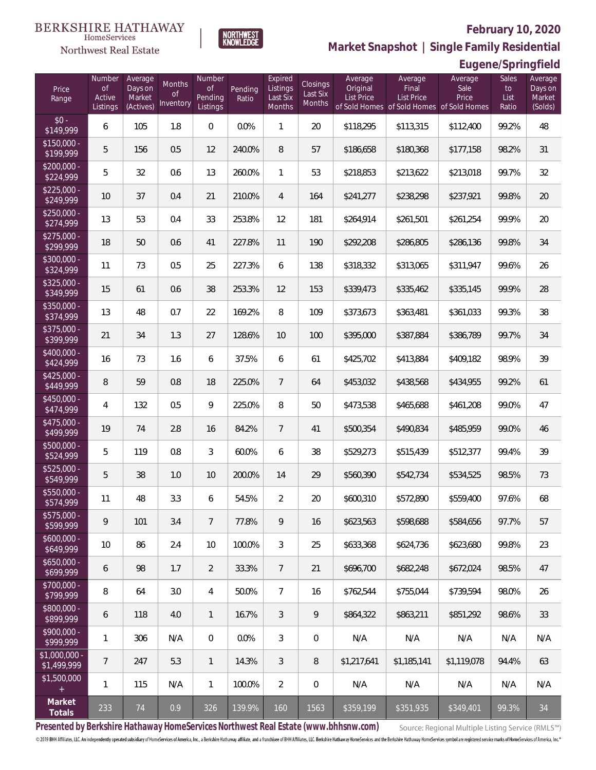**Eugene/Springfield**



**Market Snapshot | Single Family Residential**

| Northwest Real Estate |
|-----------------------|
|                       |

| Price<br>Range                | Number<br><b>of</b><br>Active<br>Listings | Average<br>Days on<br>Market<br>(Actives) | <b>Months</b><br><b>of</b><br>Inventory | Number<br>of<br>Pending<br>Listings | Pending<br>Ratio | Expired<br>Listings<br>Last Six<br>Months | <b>Closings</b><br>Last Six<br>Months | Average<br>Original<br>List Price | Average<br>Final<br>List Price<br>of Sold Homes of Sold Homes of Sold Homes | Average<br>Sale<br>Price | Sales<br>to<br>List<br>Ratio | Average<br>Days on<br>Market<br>(Solds) |
|-------------------------------|-------------------------------------------|-------------------------------------------|-----------------------------------------|-------------------------------------|------------------|-------------------------------------------|---------------------------------------|-----------------------------------|-----------------------------------------------------------------------------|--------------------------|------------------------------|-----------------------------------------|
| $$0 -$<br>\$149,999           | 6                                         | 105                                       | 1.8                                     | $\boldsymbol{0}$                    | 0.0%             | $\mathbf{1}$                              | 20                                    | \$118,295                         | \$113,315                                                                   | \$112,400                | 99.2%                        | 48                                      |
| $$150,000 -$<br>\$199,999     | 5                                         | 156                                       | 0.5                                     | 12                                  | 240.0%           | $\, 8$                                    | 57                                    | \$186,658                         | \$180,368                                                                   | \$177,158                | 98.2%                        | 31                                      |
| $$200,000 -$<br>\$224,999     | 5                                         | 32                                        | 0.6                                     | 13                                  | 260.0%           | $\mathbf{1}$                              | 53                                    | \$218,853                         | \$213,622                                                                   | \$213,018                | 99.7%                        | 32                                      |
| $$225,000 -$<br>\$249,999     | 10                                        | 37                                        | 0.4                                     | 21                                  | 210.0%           | $\overline{4}$                            | 164                                   | \$241,277                         | \$238,298                                                                   | \$237,921                | 99.8%                        | 20                                      |
| $$250,000 -$<br>\$274,999     | 13                                        | 53                                        | 0.4                                     | 33                                  | 253.8%           | 12                                        | 181                                   | \$264,914                         | \$261,501                                                                   | \$261,254                | 99.9%                        | 20                                      |
| $$275,000 -$<br>\$299,999     | 18                                        | 50                                        | 0.6                                     | 41                                  | 227.8%           | 11                                        | 190                                   | \$292,208                         | \$286,805                                                                   | \$286,136                | 99.8%                        | 34                                      |
| $$300,000 -$<br>\$324,999     | 11                                        | 73                                        | 0.5                                     | 25                                  | 227.3%           | 6                                         | 138                                   | \$318,332                         | \$313,065                                                                   | \$311,947                | 99.6%                        | 26                                      |
| $$325,000 -$<br>\$349,999     | 15                                        | 61                                        | 0.6                                     | 38                                  | 253.3%           | 12                                        | 153                                   | \$339,473                         | \$335,462                                                                   | \$335,145                | 99.9%                        | 28                                      |
| $$350,000 -$<br>\$374,999     | 13                                        | 48                                        | 0.7                                     | 22                                  | 169.2%           | $\, 8$                                    | 109                                   | \$373,673                         | \$363,481                                                                   | \$361,033                | 99.3%                        | 38                                      |
| \$375,000 -<br>\$399,999      | 21                                        | 34                                        | 1.3                                     | 27                                  | 128.6%           | 10                                        | 100                                   | \$395,000                         | \$387,884                                                                   | \$386,789                | 99.7%                        | 34                                      |
| $$400,000 -$<br>\$424,999     | 16                                        | 73                                        | 1.6                                     | 6                                   | 37.5%            | 6                                         | 61                                    | \$425,702                         | \$413,884                                                                   | \$409,182                | 98.9%                        | 39                                      |
| $$425,000 -$<br>\$449,999     | 8                                         | 59                                        | 0.8                                     | 18                                  | 225.0%           | $\overline{7}$                            | 64                                    | \$453,032                         | \$438,568                                                                   | \$434,955                | 99.2%                        | 61                                      |
| $$450,000 -$<br>\$474,999     | 4                                         | 132                                       | 0.5                                     | 9                                   | 225.0%           | $\, 8$                                    | 50                                    | \$473,538                         | \$465,688                                                                   | \$461,208                | 99.0%                        | 47                                      |
| $$475,000 -$<br>\$499,999     | 19                                        | 74                                        | 2.8                                     | 16                                  | 84.2%            | $\overline{7}$                            | 41                                    | \$500,354                         | \$490,834                                                                   | \$485,959                | 99.0%                        | 46                                      |
| \$500,000 -<br>\$524,999      | 5                                         | 119                                       | 0.8                                     | $\mathfrak{Z}$                      | 60.0%            | 6                                         | 38                                    | \$529,273                         | \$515,439                                                                   | \$512,377                | 99.4%                        | 39                                      |
| $$525,000 -$<br>\$549,999     | 5                                         | 38                                        | 1.0                                     | 10                                  | 200.0%           | 14                                        | 29                                    | \$560,390                         | \$542,734                                                                   | \$534,525                | 98.5%                        | 73                                      |
| \$550,000 -<br>\$574,999      | 11                                        | 48                                        | 3.3                                     | 6                                   | 54.5%            | $\overline{2}$                            | 20                                    | \$600,310                         | \$572,890                                                                   | \$559,400                | 97.6%                        | 68                                      |
| $$575,000 -$<br>\$599,999     | 9                                         | 101                                       | 3.4                                     | $\overline{7}$                      | 77.8%            | 9                                         | 16                                    | \$623,563                         | \$598,688                                                                   | \$584,656                | 97.7%                        | 57                                      |
| \$600,000 -<br>\$649,999      | 10                                        | 86                                        | 2.4                                     | 10                                  | 100.0%           | $\mathfrak{Z}$                            | 25                                    | \$633,368                         | \$624,736                                                                   | \$623,680                | 99.8%                        | 23                                      |
| \$650,000 -<br>\$699,999      | 6                                         | 98                                        | 1.7                                     | $\overline{2}$                      | 33.3%            | $\overline{7}$                            | 21                                    | \$696,700                         | \$682,248                                                                   | \$672,024                | 98.5%                        | 47                                      |
| \$700,000 -<br>\$799,999      | 8                                         | 64                                        | 3.0                                     | $\overline{4}$                      | 50.0%            | $7\overline{ }$                           | 16                                    | \$762,544                         | \$755,044                                                                   | \$739,594                | 98.0%                        | 26                                      |
| \$800,000 -<br>\$899,999      | 6                                         | 118                                       | 4.0                                     | $\overline{1}$                      | 16.7%            | 3                                         | 9                                     | \$864,322                         | \$863,211                                                                   | \$851,292                | 98.6%                        | 33                                      |
| \$900,000 -<br>\$999,999      | $\mathbf{1}$                              | 306                                       | N/A                                     | $\mathbf 0$                         | 0.0%             | 3                                         | $\mathbf 0$                           | N/A                               | N/A                                                                         | N/A                      | N/A                          | N/A                                     |
| $$1,000,000 -$<br>\$1,499,999 | $\overline{7}$                            | 247                                       | 5.3                                     | $\overline{1}$                      | 14.3%            | 3                                         | 8                                     | \$1,217,641                       | \$1,185,141                                                                 | \$1,119,078              | 94.4%                        | 63                                      |
| \$1,500,000<br>$+$            | 1                                         | 115                                       | N/A                                     | $\mathbf{1}$                        | 100.0%           | $\overline{2}$                            | $\mathbf 0$                           | N/A                               | N/A                                                                         | N/A                      | N/A                          | N/A                                     |
| Market<br>Totals              | 233                                       | 74                                        | 0.9                                     | 326                                 | 139.9%           | 160                                       | 1563                                  | \$359,199                         | \$351,935                                                                   | \$349,401                | 99.3%                        | 34                                      |

**Presented by Berkshire Hathaway HomeServices Northwest Real Estate (www.bhhsnw.com)**© 2019 BHH Affiliates, LLC. An independently operated subsidiary of HomeServices of America, Inc., a Berkshire Hathaway affiliate, and a franchise of BHH Affiliates, LLC. Berkshire Hathaway HomeServices and the Berkshire H

Source: Regional Multiple Listing Service (RMLS™)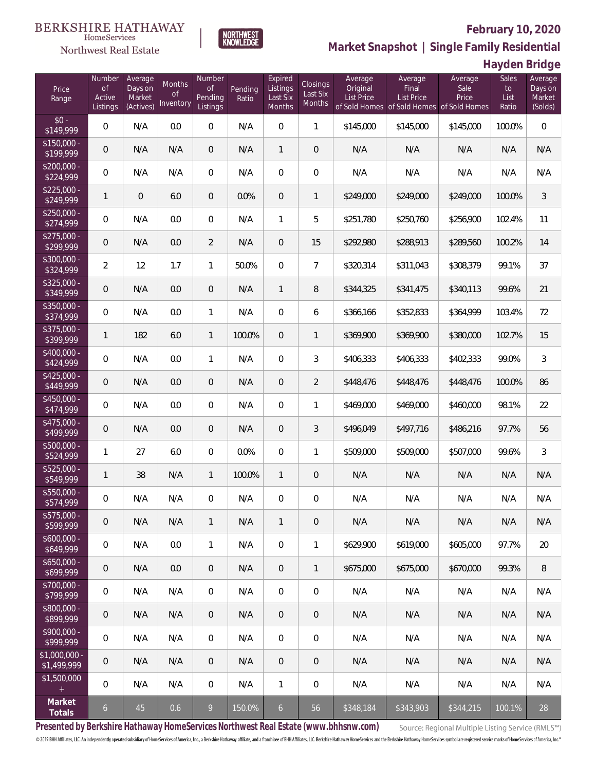

**NORTHWEST**<br>KNOWLEDGE

Northwest Real Estate

**Market Snapshot | Single Family Residential**

**Hayden Bridge**

| Price<br>Range               | Number<br><b>of</b><br>Active<br>Listings | Average<br>Days on<br>Market<br>(Actives) | Months<br>0f<br>Inventory | Number<br>Οf<br>Pending<br>Listings | Pending<br>Ratio | Expired<br>Listings<br>Last Six<br>Months | Closings<br>Last Six<br>Months | Average<br>Original<br>List Price | Average<br>Final<br><b>List Price</b><br>of Sold Homes of Sold Homes of Sold Homes | Average<br>Sale<br>Price | Sales<br>to<br>List<br>Ratio | Average<br>Days on<br>Market<br>(Solds) |
|------------------------------|-------------------------------------------|-------------------------------------------|---------------------------|-------------------------------------|------------------|-------------------------------------------|--------------------------------|-----------------------------------|------------------------------------------------------------------------------------|--------------------------|------------------------------|-----------------------------------------|
| $$0 -$<br>\$149,999          | 0                                         | N/A                                       | 0.0                       | $\overline{0}$                      | N/A              | $\overline{0}$                            | $\mathbf{1}$                   | \$145,000                         | \$145,000                                                                          | \$145,000                | 100.0%                       | $\overline{0}$                          |
| $$150,000 -$<br>\$199,999    | 0                                         | N/A                                       | N/A                       | $\overline{0}$                      | N/A              | $\mathbf{1}$                              | $\overline{0}$                 | N/A                               | N/A                                                                                | N/A                      | N/A                          | N/A                                     |
| $$200,000 -$<br>\$224,999    | 0                                         | N/A                                       | N/A                       | $\overline{0}$                      | N/A              | $\overline{0}$                            | $\overline{0}$                 | N/A                               | N/A                                                                                | N/A                      | N/A                          | N/A                                     |
| $$225,000 -$<br>\$249,999    | 1                                         | $\Omega$                                  | 6.0                       | $\overline{0}$                      | 0.0%             | $\overline{0}$                            | $\mathbf{1}$                   | \$249,000                         | \$249,000                                                                          | \$249,000                | 100.0%                       | $\mathfrak{Z}$                          |
| $$250,000 -$<br>\$274,999    | 0                                         | N/A                                       | 0.0                       | $\overline{0}$                      | N/A              | $\mathbf{1}$                              | 5                              | \$251,780                         | \$250,760                                                                          | \$256,900                | 102.4%                       | 11                                      |
| $$275,000 -$<br>\$299,999    | 0                                         | N/A                                       | 0.0                       | $\overline{2}$                      | N/A              | $\overline{0}$                            | 15                             | \$292,980                         | \$288,913                                                                          | \$289,560                | 100.2%                       | 14                                      |
| $$300,000 -$<br>\$324,999    | $\overline{2}$                            | 12                                        | 1.7                       | $\mathbf{1}$                        | 50.0%            | $\overline{0}$                            | $\overline{7}$                 | \$320,314                         | \$311,043                                                                          | \$308,379                | 99.1%                        | 37                                      |
| $$325,000 -$<br>\$349,999    | 0                                         | N/A                                       | 0.0                       | $\overline{0}$                      | N/A              | $\mathbf{1}$                              | 8                              | \$344,325                         | \$341,475                                                                          | \$340,113                | 99.6%                        | 21                                      |
| $$350,000 -$<br>\$374,999    | 0                                         | N/A                                       | 0.0                       | $\mathbf{1}$                        | N/A              | $\overline{0}$                            | 6                              | \$366,166                         | \$352,833                                                                          | \$364,999                | 103.4%                       | 72                                      |
| \$375,000 -<br>\$399,999     | $\mathbf{1}$                              | 182                                       | 6.0                       | $\mathbf{1}$                        | 100.0%           | $\overline{0}$                            | $\mathbf{1}$                   | \$369,900                         | \$369,900                                                                          | \$380,000                | 102.7%                       | 15                                      |
| $$400,000 -$<br>\$424,999    | 0                                         | N/A                                       | 0.0                       | $\mathbf{1}$                        | N/A              | $\overline{0}$                            | 3                              | \$406,333                         | \$406,333                                                                          | \$402,333                | 99.0%                        | $\mathfrak{Z}$                          |
| $$425,000 -$<br>\$449,999    | 0                                         | N/A                                       | 0.0                       | $\overline{0}$                      | N/A              | $\overline{0}$                            | $\overline{2}$                 | \$448,476                         | \$448,476                                                                          | \$448,476                | 100.0%                       | 86                                      |
| $$450,000 -$<br>\$474,999    | 0                                         | N/A                                       | 0.0                       | $\overline{0}$                      | N/A              | $\overline{0}$                            | $\mathbf{1}$                   | \$469,000                         | \$469,000                                                                          | \$460,000                | 98.1%                        | 22                                      |
| $$475,000 -$<br>\$499,999    | 0                                         | N/A                                       | 0.0                       | $\overline{0}$                      | N/A              | $\overline{0}$                            | $\mathfrak{Z}$                 | \$496,049                         | \$497,716                                                                          | \$486,216                | 97.7%                        | 56                                      |
| \$500,000 -<br>\$524,999     | $\mathbf{1}$                              | 27                                        | 6.0                       | $\overline{0}$                      | 0.0%             | $\overline{0}$                            | $\mathbf{1}$                   | \$509,000                         | \$509,000                                                                          | \$507,000                | 99.6%                        | $\mathfrak{Z}$                          |
| \$525,000 -<br>\$549,999     | 1                                         | 38                                        | N/A                       | $\mathbf{1}$                        | 100.0%           | $\mathbf{1}$                              | $\theta$                       | N/A                               | N/A                                                                                | N/A                      | N/A                          | N/A                                     |
| \$550,000 -<br>\$574,999     | 0                                         | N/A                                       | N/A                       | $\mathbf{0}$                        | N/A              | $\overline{0}$                            | $\mathbf 0$                    | N/A                               | N/A                                                                                | N/A                      | N/A                          | N/A                                     |
| \$575,000 -<br>\$599,999     | 0                                         | N/A                                       | N/A                       | $\mathbf{1}$                        | N/A              | $\mathbf{1}$                              | $\mathbf 0$                    | N/A                               | N/A                                                                                | N/A                      | N/A                          | N/A                                     |
| $$600,000 -$<br>\$649,999    | 0                                         | N/A                                       | 0.0                       | $\mathbf{1}$                        | N/A              | $\mathbf 0$                               | 1                              | \$629,900                         | \$619,000                                                                          | \$605,000                | 97.7%                        | 20                                      |
| $$650,000 -$<br>\$699,999    | 0                                         | N/A                                       | $0.0\,$                   | $\mathbf 0$                         | N/A              | $\sqrt{0}$                                | $\mathbf{1}$                   | \$675,000                         | \$675,000                                                                          | \$670,000                | 99.3%                        | 8                                       |
| \$700,000 -<br>\$799,999     | 0                                         | N/A                                       | N/A                       | $\mathbf 0$                         | N/A              | $\mathbf 0$                               | $\boldsymbol{0}$               | N/A                               | N/A                                                                                | N/A                      | N/A                          | N/A                                     |
| \$800,000 -<br>\$899,999     | 0                                         | N/A                                       | N/A                       | $\mathbf 0$                         | N/A              | $\sqrt{0}$                                | $\mathbf 0$                    | N/A                               | N/A                                                                                | N/A                      | N/A                          | N/A                                     |
| $$900,000 -$<br>\$999,999    | 0                                         | N/A                                       | N/A                       | $\overline{0}$                      | N/A              | $\mathbf 0$                               | $\mathbf 0$                    | N/A                               | N/A                                                                                | N/A                      | N/A                          | N/A                                     |
| \$1,000,000 -<br>\$1,499,999 | 0                                         | N/A                                       | N/A                       | $\mathbf 0$                         | N/A              | $\sqrt{0}$                                | $\mathbf 0$                    | N/A                               | N/A                                                                                | N/A                      | N/A                          | N/A                                     |
| \$1,500,000<br>$\pm$         | 0                                         | N/A                                       | N/A                       | $\overline{0}$                      | N/A              | $\mathbf{1}$                              | 0                              | N/A                               | N/A                                                                                | N/A                      | N/A                          | N/A                                     |
| Market<br>Totals             | $\boldsymbol{6}$                          | 45                                        | 0.6                       | 9                                   | 150.0%           | $\mathfrak{b}$                            | 56                             | \$348,184                         | \$343,903                                                                          | \$344,215                | 100.1%                       | 28                                      |

**Presented by Berkshire Hathaway HomeServices Northwest Real Estate (www.bhhsnw.com)**

Source: Regional Multiple Listing Service (RMLS™)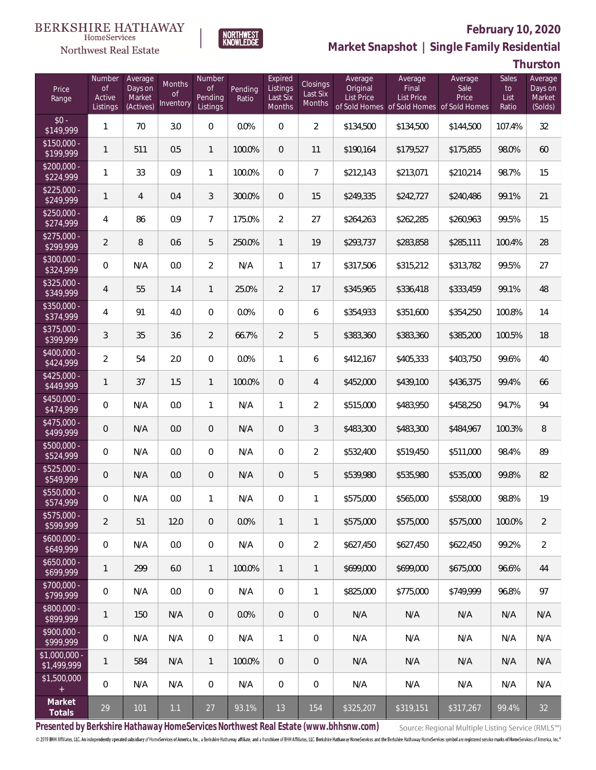



# **February 10, 2020**

**Market Snapshot | Single Family Residential**

**Thurston**

| Price<br>Range                | Number<br><b>of</b><br>Active<br>Listings | Average<br>Days on<br>Market<br>(Actives) | <b>Months</b><br>Οf<br>Inventory | Number<br><b>of</b><br>Pending<br>Listings | Pending<br>Ratio | Expired<br>Listings<br>Last Six<br><b>Months</b> | <b>Closings</b><br>Last Six<br>Months | Average<br>Original<br><b>List Price</b> | Average<br>Final<br>List Price<br>of Sold Homes of Sold Homes of Sold Homes | Average<br>Sale<br>Price | Sales<br>to<br>List<br>Ratio | Average<br>Days on<br>Market<br>(Solds) |
|-------------------------------|-------------------------------------------|-------------------------------------------|----------------------------------|--------------------------------------------|------------------|--------------------------------------------------|---------------------------------------|------------------------------------------|-----------------------------------------------------------------------------|--------------------------|------------------------------|-----------------------------------------|
| $$0 -$<br>\$149,999           | 1                                         | 70                                        | 3.0                              | $\Omega$                                   | 0.0%             | $\Omega$                                         | $\overline{2}$                        | \$134,500                                | \$134,500                                                                   | \$144,500                | 107.4%                       | 32                                      |
| $$150,000 -$<br>\$199,999     | 1                                         | 511                                       | 0.5                              | $\mathbf{1}$                               | 100.0%           | $\overline{0}$                                   | 11                                    | \$190,164                                | \$179,527                                                                   | \$175,855                | 98.0%                        | 60                                      |
| $$200,000 -$<br>\$224,999     | 1                                         | 33                                        | 0.9                              | $\mathbf{1}$                               | 100.0%           | $\overline{0}$                                   | $\overline{7}$                        | \$212,143                                | \$213,071                                                                   | \$210,214                | 98.7%                        | 15                                      |
| $$225,000 -$<br>\$249,999     | 1                                         | 4                                         | 0.4                              | 3                                          | 300.0%           | $\overline{0}$                                   | 15                                    | \$249,335                                | \$242,727                                                                   | \$240.486                | 99.1%                        | 21                                      |
| $$250,000 -$<br>\$274,999     | 4                                         | 86                                        | 0.9                              | $\overline{7}$                             | 175.0%           | $\overline{2}$                                   | 27                                    | \$264,263                                | \$262,285                                                                   | \$260,963                | 99.5%                        | 15                                      |
| $$275,000 -$<br>\$299,999     | $\overline{2}$                            | 8                                         | 0.6                              | 5                                          | 250.0%           | $\mathbf{1}$                                     | 19                                    | \$293,737                                | \$283,858                                                                   | \$285,111                | 100.4%                       | 28                                      |
| $$300,000 -$<br>\$324,999     | $\overline{0}$                            | N/A                                       | 0.0                              | $\overline{2}$                             | N/A              | $\mathbf{1}$                                     | 17                                    | \$317,506                                | \$315,212                                                                   | \$313,782                | 99.5%                        | 27                                      |
| $$325,000 -$<br>\$349,999     | $\overline{4}$                            | 55                                        | 1.4                              | $\overline{1}$                             | 25.0%            | $\overline{2}$                                   | 17                                    | \$345,965                                | \$336,418                                                                   | \$333,459                | 99.1%                        | 48                                      |
| \$350,000 -<br>\$374,999      | $\overline{4}$                            | 91                                        | 4.0                              | $\overline{0}$                             | 0.0%             | $\overline{0}$                                   | 6                                     | \$354,933                                | \$351,600                                                                   | \$354,250                | 100.8%                       | 14                                      |
| $$375,000 -$<br>\$399,999     | 3                                         | 35                                        | 3.6                              | $\overline{2}$                             | 66.7%            | $\overline{2}$                                   | 5                                     | \$383,360                                | \$383,360                                                                   | \$385,200                | 100.5%                       | 18                                      |
| $$400,000 -$<br>\$424,999     | $\overline{2}$                            | 54                                        | 2.0                              | $\overline{0}$                             | 0.0%             | $\mathbf{1}$                                     | 6                                     | \$412,167                                | \$405,333                                                                   | \$403,750                | 99.6%                        | 40                                      |
| $$425,000 -$<br>\$449,999     | 1                                         | 37                                        | 1.5                              | $\mathbf{1}$                               | 100.0%           | $\overline{0}$                                   | $\overline{4}$                        | \$452,000                                | \$439,100                                                                   | \$436,375                | 99.4%                        | 66                                      |
| \$450,000 -<br>\$474,999      | 0                                         | N/A                                       | 0.0                              | $\mathbf{1}$                               | N/A              | $\mathbf{1}$                                     | $\overline{2}$                        | \$515,000                                | \$483,950                                                                   | \$458,250                | 94.7%                        | 94                                      |
| $$475,000 -$<br>\$499,999     | $\mathbf 0$                               | N/A                                       | 0.0                              | $\overline{0}$                             | N/A              | $\overline{0}$                                   | 3                                     | \$483,300                                | \$483,300                                                                   | \$484,967                | 100.3%                       | 8                                       |
| $$500,000 -$<br>\$524,999     | 0                                         | N/A                                       | 0.0                              | $\overline{0}$                             | N/A              | $\overline{0}$                                   | $\sqrt{2}$                            | \$532,400                                | \$519,450                                                                   | \$511,000                | 98.4%                        | 89                                      |
| $$525,000 -$<br>\$549,999     | $\theta$                                  | N/A                                       | 0.0                              | $\overline{0}$                             | N/A              | $\overline{0}$                                   | 5                                     | \$539,980                                | \$535,980                                                                   | \$535,000                | 99.8%                        | 82                                      |
| \$550,000 -<br>\$574,999      | 0                                         | N/A                                       | $0.0\,$                          | $\mathbf{1}$                               | N/A              | 0                                                | 1                                     | \$575,000                                | \$565,000                                                                   | \$558,000                | 98.8%                        | 19                                      |
| $$575,000 -$<br>\$599,999     | $\overline{2}$                            | 51                                        | 12.0                             | $\overline{0}$                             | 0.0%             | $\mathbf{1}$                                     | $\mathbf{1}$                          | \$575,000                                | \$575,000                                                                   | \$575,000                | 100.0%                       | $\overline{2}$                          |
| $$600,000 -$<br>\$649,999     | $\boldsymbol{0}$                          | N/A                                       | 0.0                              | $\mathbf 0$                                | N/A              | $\mathbf 0$                                      | $\overline{2}$                        | \$627,450                                | \$627,450                                                                   | \$622,450                | 99.2%                        | $\overline{2}$                          |
| $$650,000 -$<br>\$699,999     | 1                                         | 299                                       | 6.0                              | $\overline{1}$                             | 100.0%           | $\mathbf{1}$                                     | $\mathbf{1}$                          | \$699,000                                | \$699,000                                                                   | \$675,000                | 96.6%                        | 44                                      |
| \$700,000 -<br>\$799,999      | $\overline{0}$                            | N/A                                       | 0.0                              | $\overline{0}$                             | N/A              | $\overline{0}$                                   | $\mathbf{1}$                          | \$825,000                                | \$775,000                                                                   | \$749.999                | 96.8%                        | 97                                      |
| $$800,000 -$<br>\$899,999     | 1                                         | 150                                       | N/A                              | $\overline{0}$                             | 0.0%             | $\overline{0}$                                   | $\sqrt{2}$                            | N/A                                      | N/A                                                                         | N/A                      | N/A                          | N/A                                     |
| $$900,000 -$<br>\$999,999     | $\overline{0}$                            | N/A                                       | N/A                              | $\mathbf 0$                                | N/A              | $\mathbf{1}$                                     | $\mathbf{0}$                          | N/A                                      | N/A                                                                         | N/A                      | N/A                          | N/A                                     |
| $$1,000,000 -$<br>\$1,499,999 | 1                                         | 584                                       | N/A                              | $\overline{1}$                             | 100.0%           | $\overline{0}$                                   | $\theta$                              | N/A                                      | N/A                                                                         | N/A                      | N/A                          | N/A                                     |
| \$1,500,000<br>$+$            | $\overline{0}$                            | N/A                                       | N/A                              | $\mathbf 0$                                | N/A              | $\mathbf{0}$                                     | $\mathbf 0$                           | N/A                                      | N/A                                                                         | N/A                      | N/A                          | N/A                                     |
| Market<br>Totals              | 29                                        | 101                                       | 1.1                              | 27                                         | 93.1%            | 13                                               | 154                                   | \$325,207                                | \$319,151                                                                   | \$317,267                | 99.4%                        | 32                                      |

**Presented by Berkshire Hathaway HomeServices Northwest Real Estate (www.bhhsnw.com)**

Source: Regional Multiple Listing Service (RMLS™)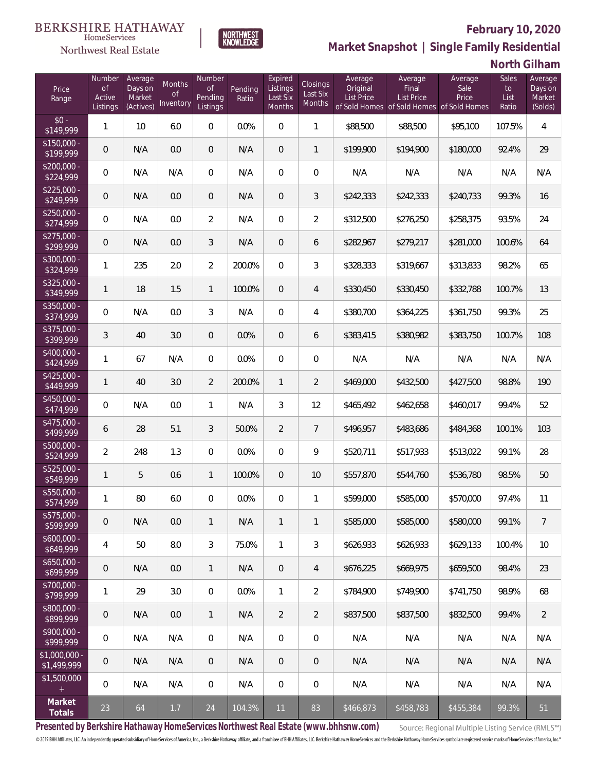

**NORTHWEST**<br>KNOWLEDGE

Northwest Real Estate

**Market Snapshot | Single Family Residential**

## **North Gilham**

| Price<br>Range               | Number<br><b>of</b><br>Active<br>Listings | Average<br>Days on<br>Market<br>(Actives) | Months<br>0f<br>Inventory | Number<br>Οf<br>Pending<br>Listings | Pending<br>Ratio | Expired<br>Listings<br>Last Six<br>Months | <b>Closings</b><br>Last Six<br>Months | Average<br>Original<br><b>List Price</b> | Average<br>Final<br><b>List Price</b><br>of Sold Homes of Sold Homes of Sold Homes | Average<br>Sale<br>Price | Sales<br>to<br>List<br>Ratio | Average<br>Days on<br>Market<br>(Solds) |
|------------------------------|-------------------------------------------|-------------------------------------------|---------------------------|-------------------------------------|------------------|-------------------------------------------|---------------------------------------|------------------------------------------|------------------------------------------------------------------------------------|--------------------------|------------------------------|-----------------------------------------|
| $$0 -$<br>\$149,999          | 1                                         | 10                                        | 6.0                       | $\overline{0}$                      | 0.0%             | $\Omega$                                  | $\mathbf{1}$                          | \$88,500                                 | \$88,500                                                                           | \$95,100                 | 107.5%                       | 4                                       |
| $$150,000 -$<br>\$199,999    | 0                                         | N/A                                       | 0.0                       | $\overline{0}$                      | N/A              | $\overline{0}$                            | $\mathbf{1}$                          | \$199,900                                | \$194,900                                                                          | \$180,000                | 92.4%                        | 29                                      |
| $$200,000 -$<br>\$224,999    | 0                                         | N/A                                       | N/A                       | $\overline{0}$                      | N/A              | $\overline{0}$                            | $\overline{0}$                        | N/A                                      | N/A                                                                                | N/A                      | N/A                          | N/A                                     |
| $$225,000 -$<br>\$249,999    | 0                                         | N/A                                       | 0.0                       | $\overline{0}$                      | N/A              | $\overline{0}$                            | 3                                     | \$242,333                                | \$242,333                                                                          | \$240,733                | 99.3%                        | 16                                      |
| $$250,000 -$<br>\$274,999    | 0                                         | N/A                                       | 0.0                       | $\overline{2}$                      | N/A              | $\overline{0}$                            | $\overline{2}$                        | \$312,500                                | \$276,250                                                                          | \$258,375                | 93.5%                        | 24                                      |
| $$275,000 -$<br>\$299,999    | 0                                         | N/A                                       | 0.0                       | 3                                   | N/A              | $\overline{0}$                            | 6                                     | \$282,967                                | \$279,217                                                                          | \$281,000                | 100.6%                       | 64                                      |
| $$300,000 -$<br>\$324,999    | $\mathbf{1}$                              | 235                                       | 2.0                       | $\overline{2}$                      | 200.0%           | $\Omega$                                  | 3                                     | \$328,333                                | \$319,667                                                                          | \$313,833                | 98.2%                        | 65                                      |
| $$325,000 -$<br>\$349,999    | 1                                         | 18                                        | 1.5                       | $\mathbf{1}$                        | 100.0%           | $\overline{0}$                            | 4                                     | \$330,450                                | \$330,450                                                                          | \$332,788                | 100.7%                       | 13                                      |
| $$350,000 -$<br>\$374,999    | 0                                         | N/A                                       | 0.0                       | 3                                   | N/A              | $\overline{0}$                            | 4                                     | \$380,700                                | \$364,225                                                                          | \$361,750                | 99.3%                        | 25                                      |
| $$375,000 -$<br>\$399,999    | 3                                         | 40                                        | 3.0                       | $\overline{0}$                      | 0.0%             | $\overline{0}$                            | 6                                     | \$383,415                                | \$380,982                                                                          | \$383,750                | 100.7%                       | 108                                     |
| $$400,000 -$<br>\$424,999    | $\mathbf{1}$                              | 67                                        | N/A                       | $\overline{0}$                      | 0.0%             | $\overline{0}$                            | $\overline{0}$                        | N/A                                      | N/A                                                                                | N/A                      | N/A                          | N/A                                     |
| $$425,000 -$<br>\$449,999    | 1                                         | 40                                        | 3.0                       | $\overline{2}$                      | 200.0%           | $\mathbf{1}$                              | $\overline{2}$                        | \$469,000                                | \$432,500                                                                          | \$427,500                | 98.8%                        | 190                                     |
| $$450,000 -$<br>\$474,999    | 0                                         | N/A                                       | 0.0                       | $\mathbf{1}$                        | N/A              | 3                                         | 12                                    | \$465,492                                | \$462,658                                                                          | \$460,017                | 99.4%                        | 52                                      |
| $$475,000 -$<br>\$499,999    | 6                                         | 28                                        | 5.1                       | 3                                   | 50.0%            | $\overline{2}$                            | $7\overline{ }$                       | \$496,957                                | \$483,686                                                                          | \$484,368                | 100.1%                       | 103                                     |
| \$500,000 -<br>\$524,999     | $\overline{2}$                            | 248                                       | 1.3                       | $\overline{0}$                      | 0.0%             | $\overline{0}$                            | 9                                     | \$520,711                                | \$517,933                                                                          | \$513,022                | 99.1%                        | 28                                      |
| $$525,000 -$<br>\$549,999    | $\mathbf{1}$                              | 5                                         | 0.6                       | $\mathbf{1}$                        | 100.0%           | $\overline{0}$                            | 10                                    | \$557,870                                | \$544,760                                                                          | \$536,780                | 98.5%                        | 50                                      |
| \$550,000 -<br>\$574,999     | $\mathbf{1}$                              | 80                                        | 6.0                       | 0                                   | 0.0%             | $\overline{0}$                            | 1                                     | \$599,000                                | \$585,000                                                                          | \$570,000                | 97.4%                        | 11                                      |
| $$575,000 -$<br>\$599,999    | 0                                         | N/A                                       | 0.0                       | $\mathbf{1}$                        | N/A              | $\mathbf{1}$                              | $\mathbf{1}$                          | \$585,000                                | \$585,000                                                                          | \$580,000                | 99.1%                        | 7                                       |
| $$600,000 -$<br>\$649,999    | 4                                         | 50                                        | 8.0                       | $\mathfrak{Z}$                      | 75.0%            | $\mathbf{1}$                              | 3                                     | \$626,933                                | \$626,933                                                                          | \$629,133                | 100.4%                       | 10                                      |
| $$650,000 -$<br>\$699,999    | 0                                         | N/A                                       | 0.0                       | $\mathbf{1}$                        | N/A              | $\overline{0}$                            | $\overline{4}$                        | \$676,225                                | \$669,975                                                                          | \$659,500                | 98.4%                        | 23                                      |
| \$700,000 -<br>\$799,999     | $\mathbf{1}$                              | 29                                        | 3.0                       | $\mathbf 0$                         | 0.0%             | $\mathbf{1}$                              | $\overline{2}$                        | \$784,900                                | \$749,900                                                                          | \$741,750                | 98.9%                        | 68                                      |
| \$800,000 -<br>\$899,999     | 0                                         | N/A                                       | 0.0                       | $\mathbf{1}$                        | N/A              | $\overline{2}$                            | $\overline{2}$                        | \$837,500                                | \$837,500                                                                          | \$832,500                | 99.4%                        | $\overline{2}$                          |
| \$900,000 -<br>\$999,999     | 0                                         | N/A                                       | N/A                       | $\mathbf 0$                         | N/A              | $\mathbf 0$                               | $\mathbf 0$                           | N/A                                      | N/A                                                                                | N/A                      | N/A                          | N/A                                     |
| \$1,000,000 -<br>\$1,499,999 | 0                                         | N/A                                       | N/A                       | $\overline{0}$                      | N/A              | $\sqrt{0}$                                | $\overline{0}$                        | N/A                                      | N/A                                                                                | N/A                      | N/A                          | N/A                                     |
| \$1,500,000<br>$\pm$         | 0                                         | N/A                                       | N/A                       | $\mathbf 0$                         | N/A              | $\mathbf 0$                               | $\mathbf 0$                           | N/A                                      | N/A                                                                                | N/A                      | N/A                          | N/A                                     |
| Market<br>Totals             | 23                                        | 64                                        | $1.7\,$                   | 24                                  | 104.3%           | 11                                        | 83                                    | \$466,873                                | \$458,783                                                                          | \$455,384                | 99.3%                        | 51                                      |

**Presented by Berkshire Hathaway HomeServices Northwest Real Estate (www.bhhsnw.com)**

Source: Regional Multiple Listing Service (RMLS™)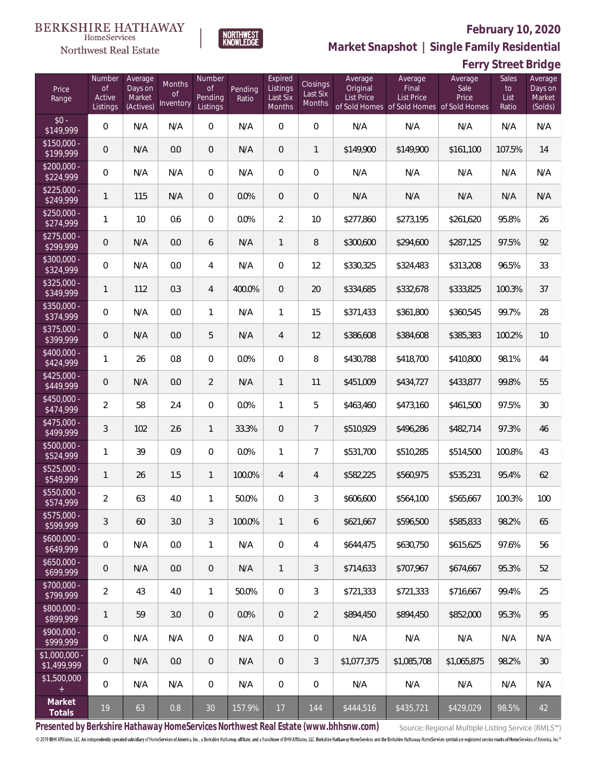**Ferry Street Bridge**



**Market Snapshot | Single Family Residential**

### **BERKSHIRE HATHAWAY** HomeServices Northwest Real Estate

| Price<br>Range                | Number<br>$\mathsf{of}$<br>Active<br>Listings | Average<br>Days on<br>Market<br>(Actives) | Months<br><b>of</b><br>Inventory | Number<br><b>of</b><br>Pending<br>Listings | Pending<br>Ratio | Expired<br>Listings<br>Last Six<br>Months | <b>Closings</b><br>Last Six<br>Months | Average<br>Original<br><b>List Price</b> | Average<br>Final<br>List Price<br>of Sold Homes of Sold Homes of Sold Homes | Average<br>Sale<br>Price | Sales<br>to<br>List<br>Ratio | Average<br>Days on<br>Market<br>(Solds) |
|-------------------------------|-----------------------------------------------|-------------------------------------------|----------------------------------|--------------------------------------------|------------------|-------------------------------------------|---------------------------------------|------------------------------------------|-----------------------------------------------------------------------------|--------------------------|------------------------------|-----------------------------------------|
| $$0 -$<br>$\sqrt{$149,999}$   | $\mathbf 0$                                   | N/A                                       | N/A                              | $\overline{0}$                             | N/A              | $\overline{0}$                            | 0                                     | N/A                                      | N/A                                                                         | N/A                      | N/A                          | N/A                                     |
| $$150,000 -$<br>\$199,999     | 0                                             | N/A                                       | 0.0                              | $\overline{0}$                             | N/A              | $\overline{0}$                            | $\mathbf{1}$                          | \$149,900                                | \$149,900                                                                   | \$161,100                | 107.5%                       | 14                                      |
| $$200,000 -$<br>\$224,999     | 0                                             | N/A                                       | N/A                              | $\overline{0}$                             | N/A              | $\overline{0}$                            | 0                                     | N/A                                      | N/A                                                                         | N/A                      | N/A                          | N/A                                     |
| $$225,000 -$<br>\$249,999     | 1                                             | 115                                       | N/A                              | $\overline{0}$                             | 0.0%             | $\overline{0}$                            | $\mathbf 0$                           | N/A                                      | N/A                                                                         | N/A                      | N/A                          | N/A                                     |
| $$250,000 -$<br>\$274,999     | 1                                             | 10                                        | 0.6                              | $\overline{0}$                             | 0.0%             | $\overline{2}$                            | 10                                    | \$277,860                                | \$273,195                                                                   | \$261,620                | 95.8%                        | 26                                      |
| $$275,000 -$<br>\$299,999     | 0                                             | N/A                                       | 0.0                              | 6                                          | N/A              | $\mathbf{1}$                              | 8                                     | \$300,600                                | \$294,600                                                                   | \$287,125                | 97.5%                        | 92                                      |
| $$300,000 -$<br>\$324,999     | 0                                             | N/A                                       | 0.0                              | 4                                          | N/A              | $\overline{0}$                            | 12                                    | \$330,325                                | \$324,483                                                                   | \$313,208                | 96.5%                        | 33                                      |
| $$325,000 -$<br>\$349,999     | 1                                             | 112                                       | 0.3                              | $\overline{4}$                             | 400.0%           | $\mathbf{0}$                              | 20                                    | \$334,685                                | \$332,678                                                                   | \$333,825                | 100.3%                       | 37                                      |
| $$350,000 -$<br>\$374,999     | 0                                             | N/A                                       | 0.0                              | $\mathbf{1}$                               | N/A              | 1                                         | 15                                    | \$371,433                                | \$361,800                                                                   | \$360,545                | 99.7%                        | 28                                      |
| \$375,000 -<br>\$399,999      | 0                                             | N/A                                       | 0.0                              | 5                                          | N/A              | $\overline{4}$                            | 12                                    | \$386,608                                | \$384,608                                                                   | \$385,383                | 100.2%                       | 10                                      |
| \$400,000 -<br>\$424,999      | 1                                             | 26                                        | 0.8                              | $\overline{0}$                             | 0.0%             | $\overline{0}$                            | 8                                     | \$430,788                                | \$418,700                                                                   | \$410,800                | 98.1%                        | 44                                      |
| $$425,000 -$<br>\$449,999     | 0                                             | N/A                                       | 0.0                              | $\overline{2}$                             | N/A              | $\mathbf{1}$                              | 11                                    | \$451,009                                | \$434,727                                                                   | \$433,877                | 99.8%                        | 55                                      |
| \$450,000 -<br>\$474,999      | $\overline{2}$                                | 58                                        | 2.4                              | $\overline{0}$                             | 0.0%             | $\mathbf{1}$                              | 5                                     | \$463,460                                | \$473,160                                                                   | \$461,500                | 97.5%                        | 30                                      |
| $$475,000 -$<br>\$499,999     | 3                                             | 102                                       | 2.6                              | $\mathbf{1}$                               | 33.3%            | $\overline{0}$                            | $\overline{7}$                        | \$510,929                                | \$496,286                                                                   | \$482,714                | 97.3%                        | 46                                      |
| \$500,000 -<br>\$524,999      | 1                                             | 39                                        | 0.9                              | $\overline{0}$                             | 0.0%             | 1                                         | $\overline{7}$                        | \$531,700                                | \$510,285                                                                   | \$514,500                | 100.8%                       | 43                                      |
| \$525,000 -<br>\$549,999      | 1                                             | 26                                        | 1.5                              | $\mathbf{1}$                               | 100.0%           | $\overline{4}$                            | 4                                     | \$582,225                                | \$560,975                                                                   | \$535,231                | 95.4%                        | 62                                      |
| \$550,000 -<br>\$574,999      | $\overline{2}$                                | 63                                        | 4.0                              | $\mathbf{1}$                               | 50.0%            | 0                                         | 3                                     | \$606,600                                | \$564,100                                                                   | \$565,667                | 100.3%                       | 100                                     |
| $$575,000 -$<br>\$599,999     | 3                                             | 60                                        | 3.0                              | 3                                          | 100.0%           | $\mathbf{1}$                              | 6                                     | \$621,667                                | \$596,500                                                                   | \$585,833                | 98.2%                        | 65                                      |
| $$600,000 -$<br>\$649,999     | 0                                             | N/A                                       | 0.0                              | $\mathbf{1}$                               | N/A              | $\overline{0}$                            | 4                                     | \$644,475                                | \$630,750                                                                   | \$615,625                | 97.6%                        | 56                                      |
| $$650,000 -$<br>\$699,999     | 0                                             | N/A                                       | 0.0                              | $\overline{0}$                             | N/A              | $\mathbf{1}$                              | 3                                     | \$714,633                                | \$707,967                                                                   | \$674,667                | 95.3%                        | 52                                      |
| \$700,000 -<br>\$799,999      | $\overline{2}$                                | 43                                        | 4.0                              | $\mathbf{1}$                               | 50.0%            | $\overline{0}$                            | 3                                     | \$721,333                                | \$721,333                                                                   | \$716,667                | 99.4%                        | 25                                      |
| \$800,000 -<br>\$899,999      | 1                                             | 59                                        | 3.0                              | $\overline{0}$                             | 0.0%             | $\mathbf{0}$                              | 2                                     | \$894,450                                | \$894.450                                                                   | \$852,000                | 95.3%                        | 95                                      |
| \$900,000 -<br>\$999,999      | $\overline{0}$                                | N/A                                       | N/A                              | $\overline{0}$                             | N/A              | $\overline{0}$                            | 0                                     | N/A                                      | N/A                                                                         | N/A                      | N/A                          | N/A                                     |
| $$1,000,000 -$<br>\$1,499,999 | 0                                             | N/A                                       | 0.0                              | $\overline{0}$                             | N/A              | $\overline{0}$                            | 3                                     | \$1,077,375                              | \$1,085,708                                                                 | \$1,065,875              | 98.2%                        | 30                                      |
| \$1,500,000                   | 0                                             | N/A                                       | N/A                              | $\mathbf 0$                                | N/A              | $\boldsymbol{0}$                          | 0                                     | N/A                                      | N/A                                                                         | N/A                      | N/A                          | N/A                                     |
| Market<br><b>Totals</b>       | 19                                            | 63                                        | 0.8                              | 30                                         | 157.9%           | 17                                        | 144                                   | \$444,516                                | \$435,721                                                                   | \$429,029                | 98.5%                        | 42                                      |

**Presented by Berkshire Hathaway HomeServices Northwest Real Estate (www.bhhsnw.com)**

Source: Regional Multiple Listing Service (RMLS™)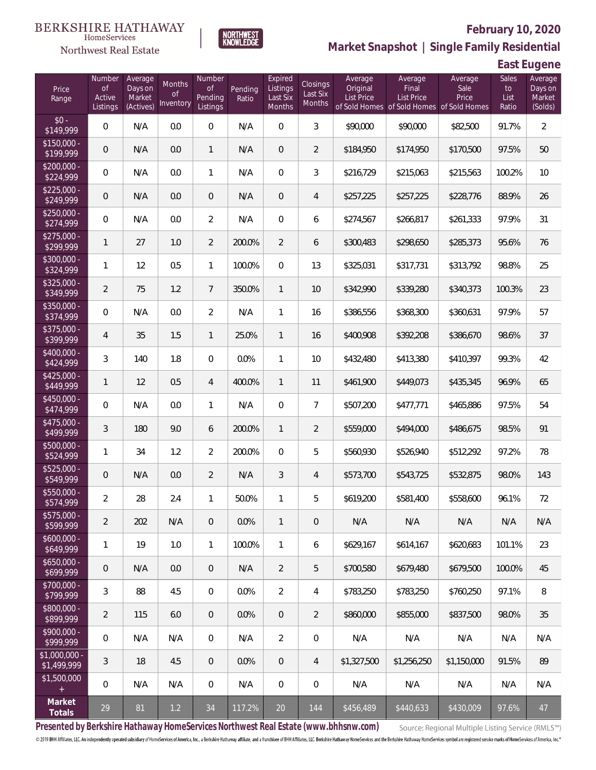



# **February 10, 2020**

**Market Snapshot | Single Family Residential**

**East Eugene**

| Price<br>Range                | Number<br><b>of</b><br>Active<br>Listings | Average<br>Days on<br>Market<br>(Actives) | Months<br>0f<br>Inventory | Number<br><b>of</b><br>Pending<br>Listings | Pending<br>Ratio | Expired<br>Listings<br>Last Six<br>Months | Closings<br>Last Six<br>Months | Average<br>Original<br>List Price | Average<br>Final<br>List Price<br>of Sold Homes of Sold Homes of Sold Homes | Average<br>Sale<br>Price | Sales<br>to<br>List<br>Ratio | Average<br>Days on<br>Market<br>(Solds) |
|-------------------------------|-------------------------------------------|-------------------------------------------|---------------------------|--------------------------------------------|------------------|-------------------------------------------|--------------------------------|-----------------------------------|-----------------------------------------------------------------------------|--------------------------|------------------------------|-----------------------------------------|
| $$0 -$<br>\$149,999           | $\overline{0}$                            | N/A                                       | 0.0                       | $\overline{0}$                             | N/A              | $\Omega$                                  | 3                              | \$90,000                          | \$90,000                                                                    | \$82,500                 | 91.7%                        | $\overline{2}$                          |
| $$150,000 -$<br>\$199,999     | $\overline{0}$                            | N/A                                       | 0.0                       | $\mathbf{1}$                               | N/A              | $\overline{0}$                            | $\overline{2}$                 | \$184,950                         | \$174,950                                                                   | \$170,500                | 97.5%                        | 50                                      |
| $$200,000 -$<br>\$224,999     | $\overline{0}$                            | N/A                                       | 0.0                       | $\mathbf{1}$                               | N/A              | $\Omega$                                  | 3                              | \$216,729                         | \$215,063                                                                   | \$215,563                | 100.2%                       | 10                                      |
| $$225,000 -$<br>\$249,999     | $\overline{0}$                            | N/A                                       | 0.0                       | $\overline{0}$                             | N/A              | $\overline{0}$                            | $\overline{4}$                 | \$257,225                         | \$257,225                                                                   | \$228,776                | 88.9%                        | 26                                      |
| $$250,000 -$<br>\$274,999     | $\overline{0}$                            | N/A                                       | 0.0                       | 2                                          | N/A              | $\Omega$                                  | 6                              | \$274,567                         | \$266,817                                                                   | \$261,333                | 97.9%                        | 31                                      |
| $$275,000 -$<br>\$299,999     | $\mathbf{1}$                              | 27                                        | 1.0                       | $\overline{2}$                             | 200.0%           | $\overline{2}$                            | 6                              | \$300,483                         | \$298,650                                                                   | \$285,373                | 95.6%                        | 76                                      |
| $$300,000 -$<br>\$324,999     | $\mathbf{1}$                              | 12                                        | 0.5                       | $\mathbf{1}$                               | 100.0%           | $\Omega$                                  | 13                             | \$325,031                         | \$317,731                                                                   | \$313,792                | 98.8%                        | 25                                      |
| $$325,000 -$<br>\$349,999     | $\overline{2}$                            | 75                                        | 1.2                       | $7\overline{ }$                            | 350.0%           | $\mathbf{1}$                              | 10                             | \$342,990                         | \$339,280                                                                   | \$340,373                | 100.3%                       | 23                                      |
| $$350,000 -$<br>\$374,999     | $\overline{0}$                            | N/A                                       | 0.0                       | $\overline{2}$                             | N/A              | $\mathbf{1}$                              | 16                             | \$386,556                         | \$368,300                                                                   | \$360,631                | 97.9%                        | 57                                      |
| $$375,000 -$<br>\$399,999     | $\overline{4}$                            | 35                                        | 1.5                       | $\mathbf{1}$                               | 25.0%            | $\mathbf{1}$                              | 16                             | \$400,908                         | \$392,208                                                                   | \$386,670                | 98.6%                        | 37                                      |
| $$400,000 -$<br>\$424,999     | 3                                         | 140                                       | 1.8                       | $\mathbf{0}$                               | 0.0%             | $\mathbf{1}$                              | 10                             | \$432,480                         | \$413,380                                                                   | \$410,397                | 99.3%                        | 42                                      |
| $$425,000 -$<br>\$449,999     | $\mathbf{1}$                              | 12                                        | 0.5                       | $\overline{4}$                             | 400.0%           | $\mathbf{1}$                              | 11                             | \$461,900                         | \$449,073                                                                   | \$435,345                | 96.9%                        | 65                                      |
| $$450,000 -$<br>\$474,999     | $\mathbf 0$                               | N/A                                       | 0.0                       | $\mathbf{1}$                               | N/A              | $\overline{0}$                            | $\overline{7}$                 | \$507,200                         | \$477,771                                                                   | \$465,886                | 97.5%                        | 54                                      |
| $$475,000 -$<br>\$499,999     | $\overline{3}$                            | 180                                       | 9.0                       | 6                                          | 200.0%           | $\mathbf{1}$                              | $\overline{2}$                 | \$559,000                         | \$494,000                                                                   | \$486,675                | 98.5%                        | 91                                      |
| $$500,000 -$<br>\$524,999     | $\mathbf{1}$                              | 34                                        | 1.2                       | $\overline{2}$                             | 200.0%           | $\Omega$                                  | 5                              | \$560,930                         | \$526,940                                                                   | \$512,292                | 97.2%                        | 78                                      |
| $$525,000 -$<br>\$549,999     | $\overline{0}$                            | N/A                                       | 0.0                       | $\overline{2}$                             | N/A              | $\mathfrak{Z}$                            | $\overline{4}$                 | \$573,700                         | \$543,725                                                                   | \$532,875                | 98.0%                        | 143                                     |
| \$550,000 -<br>\$574,999      | $\overline{a}$                            | 28                                        | 2.4                       | $\mathbf{1}$                               | 50.0%            | $\mathbf{1}$                              | 5                              | \$619,200                         | \$581,400                                                                   | \$558,600                | 96.1%                        | 72                                      |
| $$575,000 -$<br>\$599,999     | $\overline{2}$                            | 202                                       | N/A                       | $\theta$                                   | 0.0%             | $\mathbf{1}$                              | $\mathbf 0$                    | N/A                               | N/A                                                                         | N/A                      | N/A                          | N/A                                     |
| $$600,000 -$<br>\$649,999     | $\mathbf{1}$                              | 19                                        | 1.0                       | $\mathbf{1}$                               | 100.0%           | $\mathbf{1}$                              | 6                              | \$629,167                         | \$614,167                                                                   | \$620,683                | 101.1%                       | 23                                      |
| $$650,000 -$<br>\$699,999     | $\mathbf 0$                               | N/A                                       | 0.0                       | $\overline{0}$                             | N/A              | $\overline{2}$                            | 5                              | \$700,580                         | \$679,480                                                                   | \$679,500                | 100.0%                       | 45                                      |
| $$700,000 -$<br>\$799,999     | $\mathfrak{Z}$                            | 88                                        | 4.5                       | 0                                          | 0.0%             | $\overline{2}$                            | 4                              | \$783,250                         | \$783,250                                                                   | \$760,250                | 97.1%                        | 8                                       |
| \$800,000 -<br>\$899,999      | $\overline{2}$                            | 115                                       | 6.0                       | $\overline{0}$                             | 0.0%             | $\overline{0}$                            | $\overline{2}$                 | \$860,000                         | \$855,000                                                                   | \$837,500                | 98.0%                        | 35                                      |
| $$900,000 -$<br>\$999,999     | 0                                         | N/A                                       | N/A                       | 0                                          | N/A              | $\overline{2}$                            | $\mathbf 0$                    | N/A                               | N/A                                                                         | N/A                      | N/A                          | N/A                                     |
| $$1,000,000 -$<br>\$1,499,999 | $\mathfrak{Z}$                            | 18                                        | 4.5                       | $\overline{0}$                             | 0.0%             | $\overline{0}$                            | $\overline{4}$                 | \$1,327,500                       | \$1,256,250                                                                 | \$1,150,000              | 91.5%                        | 89                                      |
| \$1,500,000<br>$+$            | $\overline{0}$                            | N/A                                       | N/A                       | 0                                          | N/A              | $\boldsymbol{0}$                          | $\mathbf 0$                    | N/A                               | N/A                                                                         | N/A                      | N/A                          | N/A                                     |
| Market<br>Totals              | 29                                        | 81                                        | $1.2$                     | 34                                         | 117.2%           | 20                                        | 144                            | \$456,489                         | \$440,633                                                                   | \$430,009                | 97.6%                        | 47                                      |

**Presented by Berkshire Hathaway HomeServices Northwest Real Estate (www.bhhsnw.com)**

Source: Regional Multiple Listing Service (RMLS™)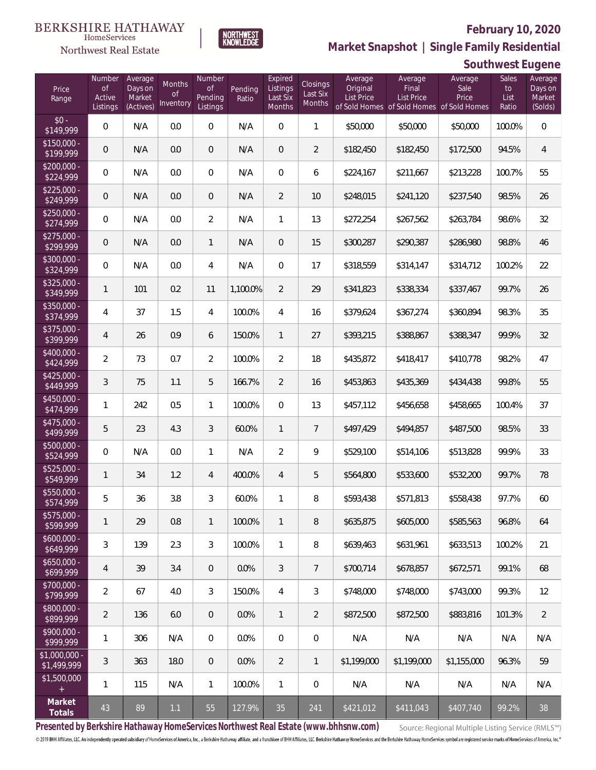**Southwest Eugene**



**Market Snapshot | Single Family Residential**

### HomeServices Northwest Real Estate

| Price<br>Range                | Number<br><b>of</b><br>Active<br>Listings | Average<br>Days on<br>Market<br>(Actives) | Months<br><b>of</b><br>Inventory | Number<br><b>of</b><br>Pending<br>Listings | Pending<br>Ratio | Expired<br>Listings<br>Last Six<br>Months | <b>Closings</b><br>Last Six<br>Months | Average<br>Original<br>List Price | Average<br>Final<br>List Price<br>of Sold Homes of Sold Homes of Sold Homes | Average<br>Sale<br>Price | <b>Sales</b><br>to<br>List<br>Ratio | Average<br>Days on<br>Market<br>(Solds) |
|-------------------------------|-------------------------------------------|-------------------------------------------|----------------------------------|--------------------------------------------|------------------|-------------------------------------------|---------------------------------------|-----------------------------------|-----------------------------------------------------------------------------|--------------------------|-------------------------------------|-----------------------------------------|
| $$0 -$<br>\$149,999           | 0                                         | N/A                                       | 0.0                              | $\overline{0}$                             | N/A              | $\overline{0}$                            | $\mathbf{1}$                          | \$50,000                          | \$50,000                                                                    | \$50,000                 | 100.0%                              | $\mathbf 0$                             |
| $$150,000 -$<br>\$199,999     | 0                                         | N/A                                       | 0.0                              | $\overline{0}$                             | N/A              | $\overline{0}$                            | $\overline{2}$                        | \$182,450                         | \$182,450                                                                   | \$172,500                | 94.5%                               | $\overline{4}$                          |
| $$200,000 -$<br>\$224,999     | 0                                         | N/A                                       | 0.0                              | $\overline{0}$                             | N/A              | $\overline{0}$                            | 6                                     | \$224,167                         | \$211,667                                                                   | \$213,228                | 100.7%                              | 55                                      |
| $$225,000 -$<br>\$249,999     | 0                                         | N/A                                       | 0.0                              | $\overline{0}$                             | N/A              | $\overline{2}$                            | 10                                    | \$248,015                         | \$241,120                                                                   | \$237,540                | 98.5%                               | 26                                      |
| $$250,000 -$<br>\$274,999     | 0                                         | N/A                                       | 0.0                              | $\overline{2}$                             | N/A              | $\mathbf{1}$                              | 13                                    | \$272,254                         | \$267,562                                                                   | \$263,784                | 98.6%                               | 32                                      |
| $$275,000 -$<br>\$299,999     | 0                                         | N/A                                       | 0.0                              | $\mathbf{1}$                               | N/A              | $\overline{0}$                            | 15                                    | \$300,287                         | \$290,387                                                                   | \$286,980                | 98.8%                               | 46                                      |
| $$300,000 -$<br>\$324,999     | 0                                         | N/A                                       | 0.0                              | 4                                          | N/A              | $\Omega$                                  | 17                                    | \$318,559                         | \$314,147                                                                   | \$314,712                | 100.2%                              | 22                                      |
| $$325,000 -$<br>\$349,999     | 1                                         | 101                                       | 0.2                              | 11                                         | 1,100.0%         | $\overline{2}$                            | 29                                    | \$341,823                         | \$338,334                                                                   | \$337,467                | 99.7%                               | 26                                      |
| $$350,000 -$<br>\$374,999     | 4                                         | 37                                        | 1.5                              | 4                                          | 100.0%           | $\overline{4}$                            | 16                                    | \$379,624                         | \$367,274                                                                   | \$360,894                | 98.3%                               | 35                                      |
| $$375,000 -$<br>\$399,999     | 4                                         | 26                                        | 0.9                              | 6                                          | 150.0%           | $\mathbf{1}$                              | 27                                    | \$393,215                         | \$388,867                                                                   | \$388,347                | 99.9%                               | 32                                      |
| $$400,000 -$<br>\$424,999     | $\overline{2}$                            | 73                                        | 0.7                              | $\overline{2}$                             | 100.0%           | $\overline{2}$                            | 18                                    | \$435,872                         | \$418,417                                                                   | \$410,778                | 98.2%                               | 47                                      |
| $$425,000 -$<br>\$449,999     | 3                                         | 75                                        | 1.1                              | 5                                          | 166.7%           | $\overline{2}$                            | 16                                    | \$453,863                         | \$435,369                                                                   | \$434,438                | 99.8%                               | 55                                      |
| $$450,000 -$<br>\$474,999     | 1                                         | 242                                       | 0.5                              | $\mathbf{1}$                               | 100.0%           | $\overline{0}$                            | 13                                    | \$457,112                         | \$456,658                                                                   | \$458,665                | 100.4%                              | 37                                      |
| \$475,000 -<br>\$499,999      | 5                                         | 23                                        | 4.3                              | 3                                          | 60.0%            | $\mathbf{1}$                              | $\overline{7}$                        | \$497,429                         | \$494,857                                                                   | \$487,500                | 98.5%                               | 33                                      |
| $$500,000 -$<br>\$524,999     | 0                                         | N/A                                       | 0.0                              | $\mathbf{1}$                               | N/A              | $\overline{2}$                            | 9                                     | \$529,100                         | \$514,106                                                                   | \$513,828                | 99.9%                               | 33                                      |
| $$525,000 -$<br>\$549,999     | 1                                         | 34                                        | 1.2                              | 4                                          | 400.0%           | $\overline{4}$                            | 5                                     | \$564,800                         | \$533,600                                                                   | \$532,200                | 99.7%                               | 78                                      |
| \$550,000 -<br>\$574,999      | 5                                         | 36                                        | 3.8                              | 3                                          | 60.0%            | 1                                         | 8                                     | \$593,438                         | \$571,813                                                                   | \$558,438                | 97.7%                               | 60                                      |
| \$575,000 -<br>\$599,999      | 1                                         | 29                                        | 0.8                              | $\mathbf{1}$                               | 100.0%           | $\mathbf{1}$                              | 8                                     | \$635,875                         | \$605,000                                                                   | \$585,563                | 96.8%                               | 64                                      |
| $$600,000 -$<br>\$649,999     | 3                                         | 139                                       | 2.3                              | 3                                          | 100.0%           | $\mathbf{1}$                              | 8                                     | \$639,463                         | \$631,961                                                                   | \$633,513                | 100.2%                              | 21                                      |
| $$650,000 -$<br>\$699,999     | 4                                         | 39                                        | 3.4                              | $\overline{0}$                             | 0.0%             | 3                                         | $\overline{7}$                        | \$700,714                         | \$678,857                                                                   | \$672.571                | 99.1%                               | 68                                      |
| \$700,000 -<br>\$799,999      | 2                                         | 67                                        | 4.0                              | $\mathfrak{Z}$                             | 150.0%           | $\overline{4}$                            | 3                                     | \$748,000                         | \$748,000                                                                   | \$743,000                | 99.3%                               | 12                                      |
| \$800,000 -<br>\$899,999      | $\overline{2}$                            | 136                                       | 6.0                              | $\overline{0}$                             | 0.0%             | $\mathbf{1}$                              | $\overline{2}$                        | \$872,500                         | \$872,500                                                                   | \$883,816                | 101.3%                              | $\overline{2}$                          |
| \$900,000 -<br>\$999,999      | 1                                         | 306                                       | N/A                              | $\boldsymbol{0}$                           | 0.0%             | 0                                         | $\boldsymbol{0}$                      | N/A                               | N/A                                                                         | N/A                      | N/A                                 | N/A                                     |
| $$1,000,000 -$<br>\$1,499,999 | 3                                         | 363                                       | 18.0                             | $\overline{0}$                             | 0.0%             | $\overline{2}$                            | $\mathbf{1}$                          | \$1,199,000                       | \$1,199,000                                                                 | \$1,155,000              | 96.3%                               | 59                                      |
| \$1,500,000<br>$+$            | 1                                         | 115                                       | N/A                              | $\mathbf{1}$                               | 100.0%           | $\mathbf{1}$                              | $\mathbf 0$                           | N/A                               | N/A                                                                         | N/A                      | N/A                                 | N/A                                     |
| Market<br>Totals              | 43                                        | 89                                        | 1.1                              | 55                                         | 127.9%           | 35                                        | 241                                   | \$421,012                         | \$411,043                                                                   | \$407,740                | 99.2%                               | 38                                      |

**Presented by Berkshire Hathaway HomeServices Northwest Real Estate (www.bhhsnw.com)**

Source: Regional Multiple Listing Service (RMLS™)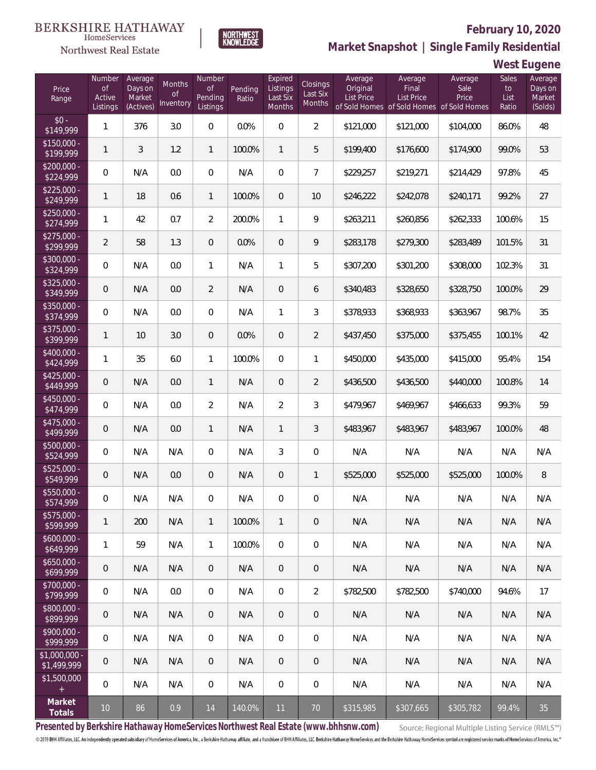

### **February 10, 2020**



**West Eugene**

| Price<br>Range                    | Number<br>of<br>Active<br>Listings | Average<br>Days on<br>Market<br>(Actives) | Months<br>Οf<br>Inventory | Number<br><b>of</b><br>Pending<br>Listings | Pending<br>Ratio | Expired<br>Listings<br>Last Six<br>Months | Closings<br>Last Six<br>Months | Average<br>Original<br><b>List Price</b> | Average<br>Final<br>List Price<br>of Sold Homes of Sold Homes | Average<br>Sale<br>Price<br>of Sold Homes | Sales<br>to<br>List<br>Ratio | Average<br>Days on<br>Market<br>(Solds) |
|-----------------------------------|------------------------------------|-------------------------------------------|---------------------------|--------------------------------------------|------------------|-------------------------------------------|--------------------------------|------------------------------------------|---------------------------------------------------------------|-------------------------------------------|------------------------------|-----------------------------------------|
| $$0 -$<br>\$149,999               | 1                                  | 376                                       | 3.0                       | $\Omega$                                   | 0.0%             | $\overline{0}$                            | $\overline{2}$                 | \$121,000                                | \$121,000                                                     | \$104,000                                 | 86.0%                        | 48                                      |
| $$150,000 -$<br>\$199,999         | 1                                  | 3                                         | 1.2                       | $\mathbf{1}$                               | 100.0%           | $\mathbf{1}$                              | 5                              | \$199,400                                | \$176,600                                                     | \$174,900                                 | 99.0%                        | 53                                      |
| $$200,000 -$<br>\$224,999         | $\overline{0}$                     | N/A                                       | 0.0                       | $\overline{0}$                             | N/A              | $\overline{0}$                            | $\overline{7}$                 | \$229,257                                | \$219,271                                                     | \$214,429                                 | 97.8%                        | 45                                      |
| $$225,000 -$<br>\$249,999         | 1                                  | 18                                        | 0.6                       | $\mathbf{1}$                               | 100.0%           | $\overline{0}$                            | 10                             | \$246,222                                | \$242,078                                                     | \$240.171                                 | 99.2%                        | 27                                      |
| $$250,000 -$<br>\$274,999         | 1                                  | 42                                        | 0.7                       | $\overline{2}$                             | 200.0%           | $\mathbf{1}$                              | 9                              | \$263,211                                | \$260,856                                                     | \$262,333                                 | 100.6%                       | 15                                      |
| $$275,000 -$<br>\$299,999         | $\overline{2}$                     | 58                                        | 1.3                       | $\overline{0}$                             | 0.0%             | $\overline{0}$                            | 9                              | \$283,178                                | \$279,300                                                     | \$283,489                                 | 101.5%                       | 31                                      |
| \$300,000 -<br>\$324,999          | $\overline{0}$                     | N/A                                       | 0.0                       | $\mathbf{1}$                               | N/A              | $\mathbf{1}$                              | 5                              | \$307,200                                | \$301,200                                                     | \$308,000                                 | 102.3%                       | 31                                      |
| $$325,000 -$<br>\$349,999         | 0                                  | N/A                                       | 0.0                       | $\overline{2}$                             | N/A              | $\overline{0}$                            | 6                              | \$340,483                                | \$328,650                                                     | \$328,750                                 | 100.0%                       | 29                                      |
| \$350,000 -<br>\$374,999          | $\overline{0}$                     | N/A                                       | 0.0                       | $\overline{0}$                             | N/A              | $\mathbf{1}$                              | 3                              | \$378,933                                | \$368,933                                                     | \$363,967                                 | 98.7%                        | 35                                      |
| \$375,000 -<br>\$399,999          | 1                                  | 10                                        | 3.0                       | $\overline{0}$                             | 0.0%             | $\overline{0}$                            | $\overline{2}$                 | \$437,450                                | \$375,000                                                     | \$375,455                                 | 100.1%                       | 42                                      |
| \$400,000 -<br>\$424,999          | 1                                  | 35                                        | 6.0                       | $\mathbf{1}$                               | 100.0%           | $\overline{0}$                            | $\mathbf{1}$                   | \$450,000                                | \$435,000                                                     | \$415,000                                 | 95.4%                        | 154                                     |
| $$425,000 -$<br>\$449,999         | 0                                  | N/A                                       | 0.0                       | $\mathbf{1}$                               | N/A              | $\overline{0}$                            | $\overline{2}$                 | \$436,500                                | \$436,500                                                     | \$440,000                                 | 100.8%                       | 14                                      |
| $$450,000 -$<br>\$474,999         | $\overline{0}$                     | N/A                                       | 0.0                       | $\overline{2}$                             | N/A              | $\overline{2}$                            | 3                              | \$479,967                                | \$469,967                                                     | \$466,633                                 | 99.3%                        | 59                                      |
| $$475,000 -$<br>$\sqrt{$499,999}$ | 0                                  | N/A                                       | 0.0                       | $\mathbf{1}$                               | N/A              | $\mathbf{1}$                              | 3                              | \$483,967                                | \$483,967                                                     | \$483,967                                 | 100.0%                       | 48                                      |
| $$500,000 -$<br>\$524,999         | $\overline{0}$                     | N/A                                       | N/A                       | $\overline{0}$                             | N/A              | 3                                         | $\mathbf 0$                    | N/A                                      | N/A                                                           | N/A                                       | N/A                          | N/A                                     |
| $$525,000 -$<br>\$549,999         | 0                                  | N/A                                       | 0.0                       | $\overline{0}$                             | N/A              | $\overline{0}$                            | $\mathbf{1}$                   | \$525,000                                | \$525,000                                                     | \$525,000                                 | 100.0%                       | 8                                       |
| \$550,000 -<br>\$574,999          | 0                                  | N/A                                       | N/A                       | 0                                          | N/A              | $\overline{0}$                            | $\mathbf 0$                    | N/A                                      | N/A                                                           | N/A                                       | N/A                          | N/A                                     |
| $$575,000 -$<br>\$599,999         | 1                                  | 200                                       | N/A                       | $\mathbf{1}$                               | 100.0%           | $\mathbf{1}$                              | $\mathbf 0$                    | N/A                                      | N/A                                                           | N/A                                       | N/A                          | N/A                                     |
| $$600,000 -$<br>\$649,999         | 1                                  | 59                                        | N/A                       | $\mathbf{1}$                               | 100.0%           | $\overline{0}$                            | 0                              | N/A                                      | N/A                                                           | N/A                                       | N/A                          | N/A                                     |
| $$650,000 -$<br>\$699,999         | $\overline{0}$                     | N/A                                       | N/A                       | $\overline{0}$                             | N/A              | $\overline{0}$                            | 0                              | N/A                                      | N/A                                                           | N/A                                       | N/A                          | N/A                                     |
| $$700,000 -$<br>\$799,999         | $\mathbf 0$                        | N/A                                       | 0.0                       | $\mathbf 0$                                | N/A              | $\boldsymbol{0}$                          | $\overline{2}$                 | \$782,500                                | \$782,500                                                     | \$740,000                                 | 94.6%                        | 17                                      |
| $$800,000 -$<br>\$899,999         | $\theta$                           | N/A                                       | N/A                       | $\overline{0}$                             | N/A              | $\overline{0}$                            | 0                              | N/A                                      | N/A                                                           | N/A                                       | N/A                          | N/A                                     |
| $$900,000 -$<br>\$999,999         | $\mathbf 0$                        | N/A                                       | N/A                       | $\mathbf 0$                                | N/A              | $\boldsymbol{0}$                          | 0                              | N/A                                      | N/A                                                           | N/A                                       | N/A                          | N/A                                     |
| $$1,000,000$ -<br>\$1,499,999     | $\overline{0}$                     | N/A                                       | N/A                       | $\overline{0}$                             | N/A              | $\overline{0}$                            | 0                              | N/A                                      | N/A                                                           | N/A                                       | N/A                          | N/A                                     |
| \$1,500,000<br>$\pm$              | $\mathbf 0$                        | N/A                                       | N/A                       | $\overline{0}$                             | N/A              | $\mathbf 0$                               | 0                              | N/A                                      | N/A                                                           | N/A                                       | N/A                          | N/A                                     |
| Market<br>Totals                  | 10 <sup>°</sup>                    | 86                                        | 0.9                       | 14                                         | 140.0%           | 11                                        | 70                             | \$315,985                                | \$307,665                                                     | \$305,782                                 | 99.4%                        | 35                                      |

**NORTHWEST**<br>KNOWLEDGE

**Presented by Berkshire Hathaway HomeServices Northwest Real Estate (www.bhhsnw.com)**

Source: Regional Multiple Listing Service (RMLS™)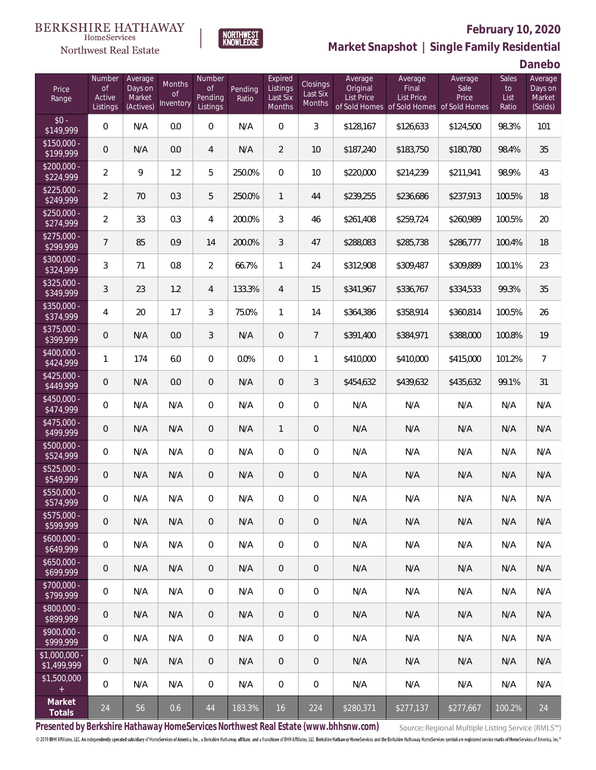#### **BERKSHIRE HATHAWAY**  $\label{lem:sevices} \textsc{Home} \textsc{Service} \textsc{s}$





### **February 10, 2020 Market Snapshot | Single Family Residential**

**Danebo**

| Price<br>Range                                  | Number<br><b>of</b><br>Active<br>Listings | Average<br>Days on<br>Market<br>(Actives) | Months<br><b>of</b><br>Inventory | Number<br><b>of</b><br>Pending<br>Listings | Pending<br>Ratio | Expired<br>Listings<br>Last Six<br>Months | Closings<br>Last Six<br>Months | Average<br>Original<br>List Price | Average<br>Final<br>List Price<br>of Sold Homes of Sold Homes of Sold Homes | Average<br>Sale<br>Price | Sales<br>to<br>List<br>Ratio | Average<br>Days on<br>Market<br>(Solds) |
|-------------------------------------------------|-------------------------------------------|-------------------------------------------|----------------------------------|--------------------------------------------|------------------|-------------------------------------------|--------------------------------|-----------------------------------|-----------------------------------------------------------------------------|--------------------------|------------------------------|-----------------------------------------|
| $$0 -$<br>$\sqrt{$149,999}$                     | 0                                         | N/A                                       | 0.0                              | $\overline{0}$                             | N/A              | $\overline{0}$                            | 3                              | \$128,167                         | \$126,633                                                                   | \$124,500                | 98.3%                        | 101                                     |
| $$150.000 -$<br>\$199,999                       | $\theta$                                  | N/A                                       | 0.0                              | 4                                          | N/A              | $\overline{2}$                            | 10                             | \$187,240                         | \$183,750                                                                   | \$180,780                | 98.4%                        | 35                                      |
| $$200,000 -$<br>\$224,999                       | $\overline{2}$                            | 9                                         | 1.2                              | 5                                          | 250.0%           | $\mathbf{0}$                              | 10                             | \$220,000                         | \$214,239                                                                   | \$211,941                | 98.9%                        | 43                                      |
| $$225,000 -$<br>\$249,999                       | $\overline{2}$                            | 70                                        | 0.3                              | 5                                          | 250.0%           | 1                                         | 44                             | \$239,255                         | \$236,686                                                                   | \$237,913                | 100.5%                       | 18                                      |
| $$250,000 -$<br>\$274,999                       | $\overline{2}$                            | 33                                        | 0.3                              | 4                                          | 200.0%           | 3                                         | 46                             | \$261,408                         | \$259,724                                                                   | \$260,989                | 100.5%                       | 20                                      |
| $$275,000 -$<br>\$299,999                       | $\overline{7}$                            | 85                                        | 0.9                              | 14                                         | 200.0%           | 3                                         | 47                             | \$288,083                         | \$285,738                                                                   | \$286,777                | 100.4%                       | 18                                      |
| $$300,000 -$<br>\$324,999                       | 3                                         | 71                                        | 0.8                              | $\overline{2}$                             | 66.7%            | $\mathbf{1}$                              | 24                             | \$312,908                         | \$309,487                                                                   | \$309,889                | 100.1%                       | 23                                      |
| $$325,000 -$<br>\$349,999                       | 3                                         | 23                                        | 1.2                              | $\overline{4}$                             | 133.3%           | $\overline{4}$                            | 15                             | \$341,967                         | \$336,767                                                                   | \$334.533                | 99.3%                        | 35                                      |
| $$350,000 -$<br>\$374,999                       | 4                                         | 20                                        | 1.7                              | 3                                          | 75.0%            | $\mathbf{1}$                              | 14                             | \$364,386                         | \$358,914                                                                   | \$360,814                | 100.5%                       | 26                                      |
| \$375,000 -<br>\$399,999                        | $\theta$                                  | N/A                                       | 0.0                              | 3                                          | N/A              | $\overline{0}$                            | $\overline{7}$                 | \$391,400                         | \$384,971                                                                   | \$388,000                | 100.8%                       | 19                                      |
| \$400,000 -<br>\$424,999                        | 1                                         | 174                                       | 6.0                              | $\overline{0}$                             | 0.0%             | $\overline{0}$                            | 1                              | \$410,000                         | \$410,000                                                                   | \$415,000                | 101.2%                       | $\overline{7}$                          |
| $$425,000 -$<br>\$449,999                       | $\overline{0}$                            | N/A                                       | 0.0                              | $\overline{0}$                             | N/A              | $\overline{0}$                            | 3                              | \$454,632                         | \$439,632                                                                   | \$435,632                | 99.1%                        | 31                                      |
| \$450,000 -<br>\$474,999                        | 0                                         | N/A                                       | N/A                              | $\overline{0}$                             | N/A              | $\overline{0}$                            | $\overline{0}$                 | N/A                               | N/A                                                                         | N/A                      | N/A                          | N/A                                     |
| \$475,000 -<br>\$499,999                        | $\mathbf 0$                               | N/A                                       | N/A                              | $\overline{0}$                             | N/A              | $\mathbf{1}$                              | $\overline{0}$                 | N/A                               | N/A                                                                         | N/A                      | N/A                          | N/A                                     |
| \$500,000 -<br>\$524,999                        | 0                                         | N/A                                       | N/A                              | $\overline{0}$                             | N/A              | $\overline{0}$                            | $\overline{0}$                 | N/A                               | N/A                                                                         | N/A                      | N/A                          | N/A                                     |
| \$525,000 -<br>\$549,999                        | $\overline{0}$                            | N/A                                       | N/A                              | $\overline{0}$                             | N/A              | $\overline{0}$                            | $\mathbf 0$                    | N/A                               | N/A                                                                         | N/A                      | N/A                          | N/A                                     |
| \$550,000 -<br>\$574,999                        | $\boldsymbol{0}$                          | N/A                                       | N/A                              | 0                                          | N/A              | $\overline{0}$                            | $\mathbf 0$                    | N/A                               | N/A                                                                         | N/A                      | N/A                          | N/A                                     |
| $$575,000 -$<br>\$599,999                       | $\theta$                                  | N/A                                       | N/A                              | $\theta$                                   | N/A              | $\theta$                                  | $\overline{0}$                 | N/A                               | N/A                                                                         | N/A                      | N/A                          | N/A                                     |
| $$600,000 -$<br>\$649,999                       | 0                                         | N/A                                       | N/A                              | $\overline{0}$                             | N/A              | $\overline{0}$                            | 0                              | N/A                               | N/A                                                                         | N/A                      | N/A                          | N/A                                     |
| $$650,000 -$<br>\$699,999                       | $\mathbf 0$                               | N/A                                       | N/A                              | $\overline{0}$                             | N/A              | $\overline{0}$                            | $\overline{0}$                 | N/A                               | N/A                                                                         | N/A                      | N/A                          | N/A                                     |
| \$700,000 -<br>\$799,999                        | 0                                         | N/A                                       | N/A                              | $\mathbf 0$                                | N/A              | $\mathbf 0$                               | 0                              | N/A                               | N/A                                                                         | N/A                      | N/A                          | N/A                                     |
| \$800,000 -<br>\$899,999                        | $\mathbf 0$                               | N/A                                       | N/A                              | $\overline{0}$                             | N/A              | $\overline{0}$                            | $\mathbf 0$                    | N/A                               | N/A                                                                         | N/A                      | N/A                          | N/A                                     |
| \$900,000 -<br>\$999,999                        | 0                                         | N/A                                       | N/A                              | $\overline{0}$                             | N/A              | $\overline{0}$                            | 0                              | N/A                               | N/A                                                                         | N/A                      | N/A                          | N/A                                     |
| \$1,000,000 -<br>\$1,499,999                    | $\theta$                                  | N/A                                       | N/A                              | $\overline{0}$                             | N/A              | $\overline{0}$                            | $\theta$                       | N/A                               | N/A                                                                         | N/A                      | N/A                          | N/A                                     |
| \$1,500,000<br>$\begin{array}{c} + \end{array}$ | 0                                         | N/A                                       | N/A                              | $\overline{0}$                             | N/A              | $\mathbf 0$                               | $\mathbf 0$                    | N/A                               | N/A                                                                         | N/A                      | N/A                          | N/A                                     |
| Market<br>Totals                                | 24                                        | 56                                        | 0.6                              | $44\,$                                     | 183.3%           | 16                                        | 224                            | \$280,371                         | \$277,137                                                                   | \$277,667                | 100.2%                       | 24                                      |

**Presented by Berkshire Hathaway HomeServices Northwest Real Estate (www.bhhsnw.com)**

Source: Regional Multiple Listing Service (RMLS™)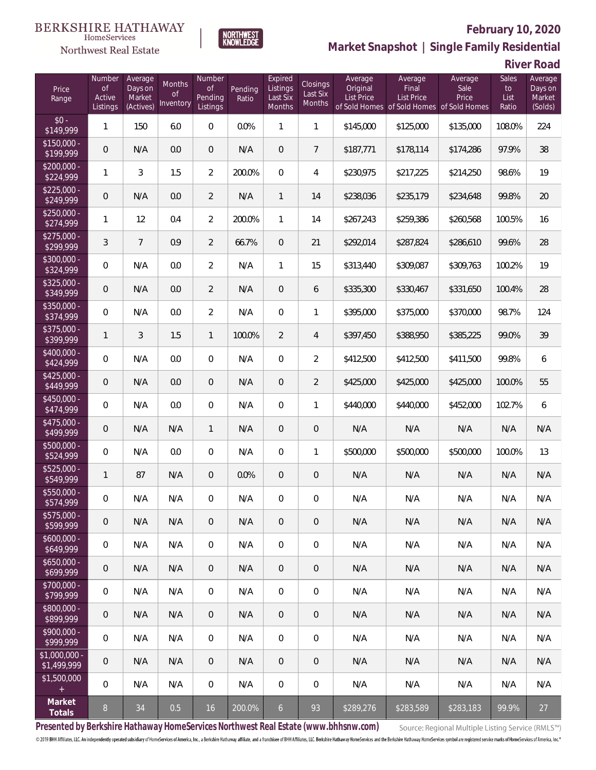### Northwest Real Estate



# **February 10, 2020**

**Market Snapshot | Single Family Residential**

**River Road**

| Price<br>Range                | Number<br><b>of</b><br>Active<br>Listings | Average<br>Days on<br>Market<br>(Actives) | <b>Months</b><br><b>of</b><br>Inventory | Number<br><b>of</b><br>Pending<br>Listings | Pending<br>Ratio | Expired<br>Listings<br>Last Six<br>Months | Closings<br>Last Six<br>Months | Average<br>Original<br><b>List Price</b><br>of Sold Homes | Average<br>Final<br><b>List Price</b><br>of Sold Homes of Sold Homes | Average<br>Sale<br>Price | Sales<br>to<br>List<br>Ratio | Average<br>Days on<br>Market<br>(Solds) |
|-------------------------------|-------------------------------------------|-------------------------------------------|-----------------------------------------|--------------------------------------------|------------------|-------------------------------------------|--------------------------------|-----------------------------------------------------------|----------------------------------------------------------------------|--------------------------|------------------------------|-----------------------------------------|
| $$0 -$<br>\$149,999           | 1                                         | 150                                       | 6.0                                     | $\overline{0}$                             | 0.0%             | $\mathbf{1}$                              | $\mathbf{1}$                   | \$145,000                                                 | \$125,000                                                            | \$135,000                | 108.0%                       | 224                                     |
| $$150,000 -$<br>\$199,999     | 0                                         | N/A                                       | 0.0                                     | $\overline{0}$                             | N/A              | $\overline{0}$                            | $7\overline{ }$                | \$187,771                                                 | \$178,114                                                            | \$174,286                | 97.9%                        | 38                                      |
| $$200,000 -$<br>\$224,999     | 1                                         | 3                                         | 1.5                                     | $\overline{2}$                             | 200.0%           | $\overline{0}$                            | 4                              | \$230,975                                                 | \$217,225                                                            | \$214,250                | 98.6%                        | 19                                      |
| $$225,000 -$<br>\$249,999     | 0                                         | N/A                                       | 0.0                                     | $\overline{2}$                             | N/A              | $\mathbf{1}$                              | 14                             | \$238,036                                                 | \$235,179                                                            | \$234,648                | 99.8%                        | 20                                      |
| $$250,000 -$<br>\$274,999     | 1                                         | 12                                        | 0.4                                     | $\overline{2}$                             | 200.0%           | $\mathbf{1}$                              | 14                             | \$267,243                                                 | \$259,386                                                            | \$260,568                | 100.5%                       | 16                                      |
| $$275,000 -$<br>\$299,999     | 3                                         | $\overline{7}$                            | 0.9                                     | $\overline{2}$                             | 66.7%            | $\overline{0}$                            | 21                             | \$292,014                                                 | \$287,824                                                            | \$286,610                | 99.6%                        | 28                                      |
| $$300,000 -$<br>\$324,999     | 0                                         | N/A                                       | 0.0                                     | $\overline{2}$                             | N/A              | $\mathbf{1}$                              | 15                             | \$313,440                                                 | \$309,087                                                            | \$309,763                | 100.2%                       | 19                                      |
| $$325,000 -$<br>\$349,999     | 0                                         | N/A                                       | 0.0                                     | $\overline{2}$                             | N/A              | $\overline{0}$                            | 6                              | \$335,300                                                 | \$330,467                                                            | \$331,650                | 100.4%                       | 28                                      |
| $$350,000 -$<br>\$374,999     | 0                                         | N/A                                       | 0.0                                     | $\overline{2}$                             | N/A              | $\overline{0}$                            | 1                              | \$395,000                                                 | \$375,000                                                            | \$370,000                | 98.7%                        | 124                                     |
| $$375,000 -$<br>\$399,999     | 1                                         | 3                                         | 1.5                                     | $\mathbf{1}$                               | 100.0%           | $\overline{2}$                            | $\overline{4}$                 | \$397,450                                                 | \$388,950                                                            | \$385,225                | 99.0%                        | 39                                      |
| \$400,000 -<br>\$424,999      | 0                                         | N/A                                       | 0.0                                     | $\overline{0}$                             | N/A              | $\overline{0}$                            | $\overline{2}$                 | \$412,500                                                 | \$412,500                                                            | \$411,500                | 99.8%                        | 6                                       |
| $$425,000 -$<br>\$449,999     | 0                                         | N/A                                       | 0.0                                     | $\overline{0}$                             | N/A              | $\overline{0}$                            | $\overline{2}$                 | \$425,000                                                 | \$425,000                                                            | \$425,000                | 100.0%                       | 55                                      |
| $$450,000 -$<br>\$474,999     | 0                                         | N/A                                       | 0.0                                     | $\overline{0}$                             | N/A              | $\overline{0}$                            | 1                              | \$440,000                                                 | \$440,000                                                            | \$452,000                | 102.7%                       | 6                                       |
| \$475,000 -<br>\$499,999      | 0                                         | N/A                                       | N/A                                     | $\mathbf{1}$                               | N/A              | $\overline{0}$                            | $\theta$                       | N/A                                                       | N/A                                                                  | N/A                      | N/A                          | N/A                                     |
| \$500,000 -<br>\$524,999      | 0                                         | N/A                                       | 0.0                                     | $\overline{0}$                             | N/A              | $\overline{0}$                            | 1                              | \$500,000                                                 | \$500,000                                                            | \$500,000                | 100.0%                       | 13                                      |
| $$525,000 -$<br>\$549,999     | 1                                         | 87                                        | N/A                                     | $\overline{0}$                             | 0.0%             | $\overline{0}$                            | $\theta$                       | N/A                                                       | N/A                                                                  | N/A                      | N/A                          | N/A                                     |
| \$550,000 -<br>\$574,999      | 0                                         | N/A                                       | N/A                                     | $\mathbf{0}$                               | N/A              | 0                                         | $\mathbf 0$                    | N/A                                                       | N/A                                                                  | N/A                      | N/A                          | N/A                                     |
| $$575,000 -$<br>\$599,999     | 0                                         | N/A                                       | N/A                                     | $\theta$                                   | N/A              | 0                                         | $\theta$                       | N/A                                                       | N/A                                                                  | N/A                      | N/A                          | N/A                                     |
| $$600,000 -$<br>\$649,999     | 0                                         | N/A                                       | N/A                                     | $\mathbf 0$                                | N/A              | $\mathbf 0$                               | $\mathbf 0$                    | N/A                                                       | N/A                                                                  | N/A                      | N/A                          | N/A                                     |
| $$650,000 -$<br>\$699,999     | 0                                         | N/A                                       | N/A                                     | $\overline{0}$                             | N/A              | $\sqrt{0}$                                | $\sqrt{2}$                     | N/A                                                       | N/A                                                                  | N/A                      | N/A                          | N/A                                     |
| \$700,000 -<br>\$799,999      | 0                                         | N/A                                       | N/A                                     | $\mathbf 0$                                | N/A              | $\mathbf 0$                               | $\mathbf 0$                    | N/A                                                       | N/A                                                                  | N/A                      | N/A                          | N/A                                     |
| \$800,000 -<br>\$899,999      | 0                                         | N/A                                       | N/A                                     | $\overline{0}$                             | N/A              | $\sqrt{0}$                                | $\sqrt{2}$                     | N/A                                                       | N/A                                                                  | N/A                      | N/A                          | N/A                                     |
| $$900,000 -$<br>\$999,999     | 0                                         | N/A                                       | N/A                                     | $\mathbf 0$                                | N/A              | $\mathbf 0$                               | $\mathbf 0$                    | N/A                                                       | N/A                                                                  | N/A                      | N/A                          | N/A                                     |
| $$1,000,000 -$<br>\$1,499,999 | 0                                         | N/A                                       | N/A                                     | $\overline{0}$                             | N/A              | $\sqrt{0}$                                | $\overline{0}$                 | N/A                                                       | N/A                                                                  | N/A                      | N/A                          | N/A                                     |
| \$1,500,000<br>$\pm$          | 0                                         | N/A                                       | N/A                                     | $\overline{0}$                             | N/A              | $\mathbf 0$                               | $\overline{0}$                 | N/A                                                       | N/A                                                                  | N/A                      | N/A                          | N/A                                     |
| Market<br>Totals              | 8                                         | 34                                        | 0.5                                     | 16                                         | 200.0%           | $6\overline{6}$                           | 93                             | \$289,276                                                 | \$283,589                                                            | \$283,183                | 99.9%                        | 27                                      |

**Presented by Berkshire Hathaway HomeServices Northwest Real Estate (www.bhhsnw.com)**

Source: Regional Multiple Listing Service (RMLS™)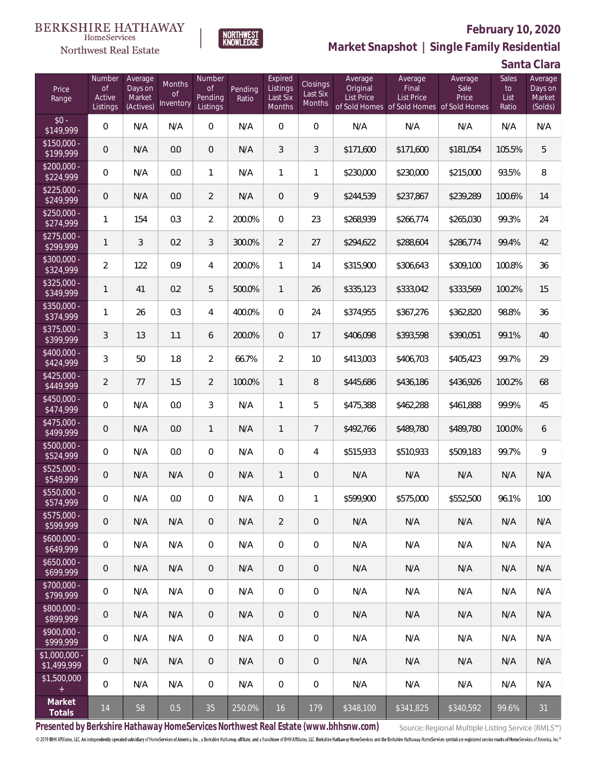### Northwest Real Estate

### **February 10, 2020**



**Market Snapshot | Single Family Residential**

**Santa Clara**

| Price<br>Range                | Number<br><b>of</b><br>Active<br>Listings | Average<br>Days on<br>Market<br>(Actives) | Months<br>Οf<br>Inventory | Number<br><b>of</b><br>Pending<br>Listings | Pending<br>Ratio | Expired<br>Listings<br>Last Six<br>Months | Closings<br>Last Six<br>Months | Average<br>Original<br><b>List Price</b> | Average<br>Final<br><b>List Price</b><br>of Sold Homes of Sold Homes of Sold Homes | Average<br>Sale<br>Price | Sales<br>to<br>List<br>Ratio | Average<br>Days on<br>Market<br>(Solds) |
|-------------------------------|-------------------------------------------|-------------------------------------------|---------------------------|--------------------------------------------|------------------|-------------------------------------------|--------------------------------|------------------------------------------|------------------------------------------------------------------------------------|--------------------------|------------------------------|-----------------------------------------|
| $$0 -$<br>\$149,999           | $\overline{0}$                            | N/A                                       | N/A                       | $\Omega$                                   | N/A              | $\Omega$                                  | $\overline{0}$                 | N/A                                      | N/A                                                                                | N/A                      | N/A                          | N/A                                     |
| $$150,000 -$<br>\$199,999     | $\overline{0}$                            | N/A                                       | 0.0                       | $\overline{0}$                             | N/A              | 3                                         | 3                              | \$171,600                                | \$171,600                                                                          | \$181,054                | 105.5%                       | 5                                       |
| $$200,000 -$<br>\$224,999     | $\overline{0}$                            | N/A                                       | 0.0                       | $\mathbf{1}$                               | N/A              | $\mathbf{1}$                              | $\mathbf{1}$                   | \$230,000                                | \$230,000                                                                          | \$215,000                | 93.5%                        | $\, 8$                                  |
| $$225,000 -$<br>\$249,999     | $\overline{0}$                            | N/A                                       | 0.0                       | $\overline{2}$                             | N/A              | $\Omega$                                  | 9                              | \$244,539                                | \$237,867                                                                          | \$239,289                | 100.6%                       | 14                                      |
| $$250,000 -$<br>\$274,999     | $\mathbf{1}$                              | 154                                       | 0.3                       | 2                                          | 200.0%           | $\Omega$                                  | 23                             | \$268,939                                | \$266,774                                                                          | \$265,030                | 99.3%                        | 24                                      |
| $$275,000 -$<br>\$299,999     | $\mathbf{1}$                              | 3                                         | 0.2                       | 3                                          | 300.0%           | $\overline{2}$                            | 27                             | \$294,622                                | \$288,604                                                                          | \$286,774                | 99.4%                        | 42                                      |
| $$300,000 -$<br>\$324,999     | $\overline{2}$                            | 122                                       | 0.9                       | 4                                          | 200.0%           | $\mathbf{1}$                              | 14                             | \$315,900                                | \$306,643                                                                          | \$309,100                | 100.8%                       | 36                                      |
| $$325,000 -$<br>\$349,999     | $\mathbf{1}$                              | 41                                        | 0.2                       | 5                                          | 500.0%           | $\mathbf{1}$                              | 26                             | \$335,123                                | \$333,042                                                                          | \$333,569                | 100.2%                       | 15                                      |
| $$350,000 -$<br>\$374,999     | $\mathbf{1}$                              | 26                                        | 0.3                       | $\overline{4}$                             | 400.0%           | $\Omega$                                  | 24                             | \$374,955                                | \$367,276                                                                          | \$362,820                | 98.8%                        | 36                                      |
| $$375,000 -$<br>\$399,999     | 3                                         | 13                                        | 1.1                       | 6                                          | 200.0%           | $\overline{0}$                            | 17                             | \$406,098                                | \$393,598                                                                          | \$390,051                | 99.1%                        | 40                                      |
| \$400,000 -<br>\$424,999      | 3                                         | 50                                        | 1.8                       | $\overline{2}$                             | 66.7%            | $\overline{2}$                            | 10                             | \$413,003                                | \$406,703                                                                          | \$405,423                | 99.7%                        | 29                                      |
| $$425,000 -$<br>\$449,999     | $\overline{2}$                            | 77                                        | 1.5                       | $\overline{2}$                             | 100.0%           | $\mathbf{1}$                              | 8                              | \$445,686                                | \$436,186                                                                          | \$436,926                | 100.2%                       | 68                                      |
| $$450,000 -$<br>\$474,999     | 0                                         | N/A                                       | 0.0                       | 3                                          | N/A              | 1                                         | 5                              | \$475,388                                | \$462,288                                                                          | \$461,888                | 99.9%                        | 45                                      |
| $$475,000 -$<br>\$499,999     | $\mathbf 0$                               | N/A                                       | 0.0                       | $\mathbf{1}$                               | N/A              | $\mathbf{1}$                              | $\overline{7}$                 | \$492,766                                | \$489,780                                                                          | \$489,780                | 100.0%                       | 6                                       |
| $$500,000 -$<br>\$524,999     | 0                                         | N/A                                       | 0.0                       | $\overline{0}$                             | N/A              | $\overline{0}$                            | $\overline{4}$                 | \$515,933                                | \$510,933                                                                          | \$509,183                | 99.7%                        | $\mathsf{Q}$                            |
| $$525,000 -$<br>\$549,999     | 0                                         | N/A                                       | N/A                       | $\overline{0}$                             | N/A              | $\mathbf{1}$                              | $\mathbf 0$                    | N/A                                      | N/A                                                                                | N/A                      | N/A                          | N/A                                     |
| \$550,000 -<br>\$574,999      | 0                                         | N/A                                       | 0.0                       | $\mathbf{0}$                               | N/A              | $\overline{0}$                            | $\mathbf{1}$                   | \$599,900                                | \$575,000                                                                          | \$552,500                | 96.1%                        | 100                                     |
| $$575,000 -$<br>\$599,999     | $\mathbf 0$                               | N/A                                       | N/A                       | $\mathbf 0$                                | N/A              | $\overline{2}$                            | $\mathbf 0$                    | N/A                                      | N/A                                                                                | N/A                      | N/A                          | N/A                                     |
| $$600,000 -$<br>\$649,999     | $\boldsymbol{0}$                          | N/A                                       | N/A                       | $\mathbf 0$                                | N/A              | 0                                         | $\mathbf 0$                    | N/A                                      | N/A                                                                                | N/A                      | N/A                          | N/A                                     |
| $$650,000 -$<br>\$699,999     | $\mathbf 0$                               | N/A                                       | N/A                       | $\overline{0}$                             | N/A              | $\overline{0}$                            | $\mathbf 0$                    | N/A                                      | N/A                                                                                | N/A                      | N/A                          | N/A                                     |
| $$700,000 -$<br>\$799,999     | 0                                         | N/A                                       | N/A                       | $\mathbf 0$                                | N/A              | 0                                         | $\mathbf 0$                    | N/A                                      | N/A                                                                                | N/A                      | N/A                          | N/A                                     |
| \$800,000 -<br>\$899,999      | $\mathbf 0$                               | N/A                                       | N/A                       | $\mathbf 0$                                | N/A              | $\overline{0}$                            | $\mathbf 0$                    | N/A                                      | N/A                                                                                | N/A                      | N/A                          | N/A                                     |
| $$900,000 -$<br>\$999,999     | 0                                         | N/A                                       | N/A                       | $\mathbf 0$                                | N/A              | $\mathbf 0$                               | $\mathbf 0$                    | N/A                                      | N/A                                                                                | N/A                      | N/A                          | N/A                                     |
| $$1,000,000 -$<br>\$1,499,999 | 0                                         | N/A                                       | N/A                       | $\mathbf 0$                                | N/A              | $\overline{0}$                            | $\mathbf 0$                    | N/A                                      | N/A                                                                                | N/A                      | N/A                          | N/A                                     |
| \$1,500,000<br>$+$ $\,$       | 0                                         | N/A                                       | N/A                       | $\mathbf 0$                                | N/A              | $\mathbf 0$                               | $\mathbf 0$                    | N/A                                      | N/A                                                                                | N/A                      | N/A                          | N/A                                     |
| Market<br>Totals              | 14                                        | 58                                        | 0.5                       | 35                                         | 250.0%           | 16                                        | 179                            | \$348,100                                | \$341,825                                                                          | \$340,592                | 99.6%                        | 31                                      |

**Presented by Berkshire Hathaway HomeServices Northwest Real Estate (www.bhhsnw.com)**

Source: Regional Multiple Listing Service (RMLS™)